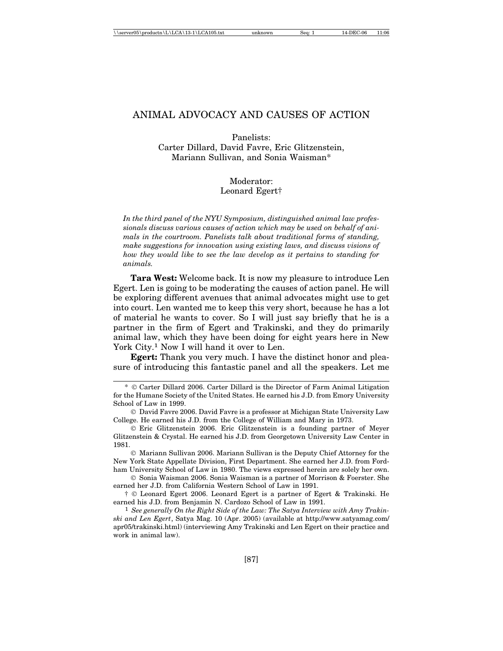Panelists: Carter Dillard, David Favre, Eric Glitzenstein, Mariann Sullivan, and Sonia Waisman\*

### Moderator: Leonard Egert†

*In the third panel of the NYU Symposium, distinguished animal law professionals discuss various causes of action which may be used on behalf of animals in the courtroom. Panelists talk about traditional forms of standing, make suggestions for innovation using existing laws, and discuss visions of how they would like to see the law develop as it pertains to standing for animals.*

**Tara West:** Welcome back. It is now my pleasure to introduce Len Egert. Len is going to be moderating the causes of action panel. He will be exploring different avenues that animal advocates might use to get into court. Len wanted me to keep this very short, because he has a lot of material he wants to cover. So I will just say briefly that he is a partner in the firm of Egert and Trakinski, and they do primarily animal law, which they have been doing for eight years here in New York City.<sup>1</sup> Now I will hand it over to Len.

**Egert:** Thank you very much. I have the distinct honor and pleasure of introducing this fantastic panel and all the speakers. Let me

 $\odot$  Mariann Sullivan 2006. Mariann Sullivan is the Deputy Chief Attorney for the New York State Appellate Division, First Department. She earned her J.D. from Fordham University School of Law in 1980. The views expressed herein are solely her own.

 $\odot$  Sonia Waisman 2006. Sonia Waisman is a partner of Morrison & Foerster. She earned her J.D. from California Western School of Law in 1991.

† Leonard Egert 2006. Leonard Egert is a partner of Egert & Trakinski. He earned his J.D. from Benjamin N. Cardozo School of Law in 1991.

1 *See generally On the Right Side of the Law: The Satya Interview with Amy Trakinski and Len Egert*, Satya Mag. 10 (Apr. 2005) (available at http://www.satyamag.com/ apr05/trakinski.html) (interviewing Amy Trakinski and Len Egert on their practice and work in animal law).

<sup>\*</sup> Carter Dillard 2006. Carter Dillard is the Director of Farm Animal Litigation for the Humane Society of the United States. He earned his J.D. from Emory University School of Law in 1999.

David Favre 2006. David Favre is a professor at Michigan State University Law College. He earned his J.D. from the College of William and Mary in 1973.

Eric Glitzenstein 2006. Eric Glitzenstein is a founding partner of Meyer Glitzenstein & Crystal. He earned his J.D. from Georgetown University Law Center in 1981.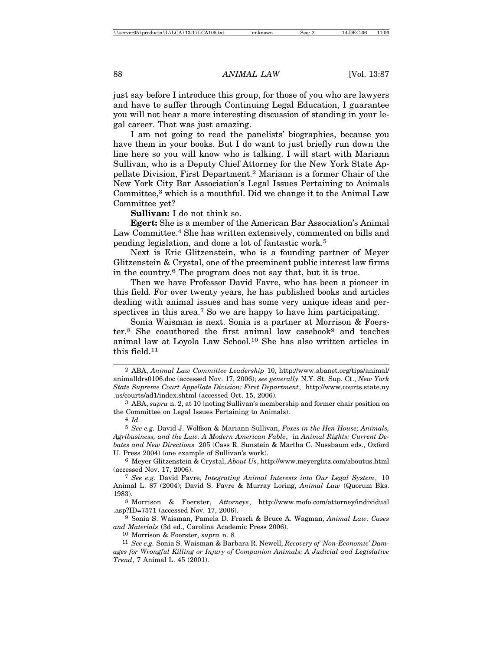just say before I introduce this group, for those of you who are lawyers and have to suffer through Continuing Legal Education, I guarantee you will not hear a more interesting discussion of standing in your legal career. That was just amazing.

I am not going to read the panelists' biographies, because you have them in your books. But I do want to just briefly run down the line here so you will know who is talking. I will start with Mariann Sullivan, who is a Deputy Chief Attorney for the New York State Appellate Division, First Department.2 Mariann is a former Chair of the New York City Bar Association's Legal Issues Pertaining to Animals Committee,<sup>3</sup> which is a mouthful. Did we change it to the Animal Law Committee yet?

**Sullivan:** I do not think so.

**Egert:** She is a member of the American Bar Association's Animal Law Committee.<sup>4</sup> She has written extensively, commented on bills and pending legislation, and done a lot of fantastic work.5

Next is Eric Glitzenstein, who is a founding partner of Meyer Glitzenstein & Crystal, one of the preeminent public interest law firms in the country.6 The program does not say that, but it is true.

Then we have Professor David Favre, who has been a pioneer in this field. For over twenty years, he has published books and articles dealing with animal issues and has some very unique ideas and perspectives in this area.<sup>7</sup> So we are happy to have him participating.

Sonia Waisman is next. Sonia is a partner at Morrison & Foerster.<sup>8</sup> She coauthored the first animal law casebook<sup>9</sup> and teaches animal law at Loyola Law School.10 She has also written articles in this field.11

5 *See e.g.* David J. Wolfson & Mariann Sullivan, *Foxes in the Hen House; Animals, Agribusiness, and the Law: A Modern American Fable*, in *Animal Rights: Current Debates and New Directions* 205 (Cass R. Sunstein & Martha C. Nussbaum eds., Oxford U. Press 2004) (one example of Sullivan's work).

6 Meyer Glitzenstein & Crystal, *About Us*, http://www.meyerglitz.com/aboutus.html (accessed Nov. 17, 2006).

7 *See e.g.* David Favre, *Integrating Animal Interests into Our Legal System*, 10 Animal L. 87 (2004); David S. Favre & Murray Loring, *Animal Law* (Quorum Bks. 1983).

8 Morrison & Foerster, *Attorneys*, http://www.mofo.com/attorney/individual .asp?ID=7571 (accessed Nov. 17, 2006).

9 Sonia S. Waisman, Pamela D. Frasch & Bruce A. Wagman, *Animal Law: Cases and Materials* (3d ed., Carolina Academic Press 2006).

10 Morrison & Foerster, *supra* n. 8*.*

11 *See e.g.* Sonia S. Waisman & Barbara R. Newell, *Recovery of 'Non-Economic' Damages for Wrongful Killing or Injury of Companion Animals: A Judicial and Legislative Trend*, 7 Animal L. 45 (2001).

<sup>2</sup> ABA, *Animal Law Committee Leadership* 10, http://www.abanet.org/tips/animal/ animalldrs0106.doc (accessed Nov. 17, 2006); *see generally* N.Y. St. Sup. Ct., *New York State Supreme Court Appellate Division: First Department*, http://www.courts.state.ny .us/courts/ad1/index.shtml (accessed Oct. 15, 2006).

<sup>3</sup> ABA, *supra* n. 2, at 10 (noting Sullivan's membership and former chair position on the Committee on Legal Issues Pertaining to Animals).

<sup>4</sup> *Id.*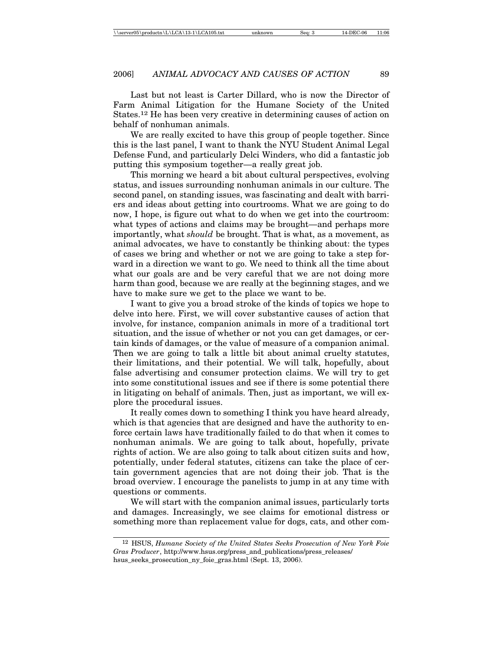Last but not least is Carter Dillard, who is now the Director of Farm Animal Litigation for the Humane Society of the United States.12 He has been very creative in determining causes of action on behalf of nonhuman animals.

We are really excited to have this group of people together. Since this is the last panel, I want to thank the NYU Student Animal Legal Defense Fund, and particularly Delci Winders, who did a fantastic job putting this symposium together—a really great job.

This morning we heard a bit about cultural perspectives, evolving status, and issues surrounding nonhuman animals in our culture. The second panel, on standing issues, was fascinating and dealt with barriers and ideas about getting into courtrooms. What we are going to do now, I hope, is figure out what to do when we get into the courtroom: what types of actions and claims may be brought—and perhaps more importantly, what *should* be brought. That is what, as a movement, as animal advocates, we have to constantly be thinking about: the types of cases we bring and whether or not we are going to take a step forward in a direction we want to go. We need to think all the time about what our goals are and be very careful that we are not doing more harm than good, because we are really at the beginning stages, and we have to make sure we get to the place we want to be.

I want to give you a broad stroke of the kinds of topics we hope to delve into here. First, we will cover substantive causes of action that involve, for instance, companion animals in more of a traditional tort situation, and the issue of whether or not you can get damages, or certain kinds of damages, or the value of measure of a companion animal. Then we are going to talk a little bit about animal cruelty statutes, their limitations, and their potential. We will talk, hopefully, about false advertising and consumer protection claims. We will try to get into some constitutional issues and see if there is some potential there in litigating on behalf of animals. Then, just as important, we will explore the procedural issues.

It really comes down to something I think you have heard already, which is that agencies that are designed and have the authority to enforce certain laws have traditionally failed to do that when it comes to nonhuman animals. We are going to talk about, hopefully, private rights of action. We are also going to talk about citizen suits and how, potentially, under federal statutes, citizens can take the place of certain government agencies that are not doing their job. That is the broad overview. I encourage the panelists to jump in at any time with questions or comments.

We will start with the companion animal issues, particularly torts and damages. Increasingly, we see claims for emotional distress or something more than replacement value for dogs, cats, and other com-

<sup>12</sup> HSUS, *Humane Society of the United States Seeks Prosecution of New York Foie Gras Producer*, http://www.hsus.org/press\_and\_publications/press\_releases/ hsus\_seeks\_prosecution\_ny\_foie\_gras.html (Sept. 13, 2006).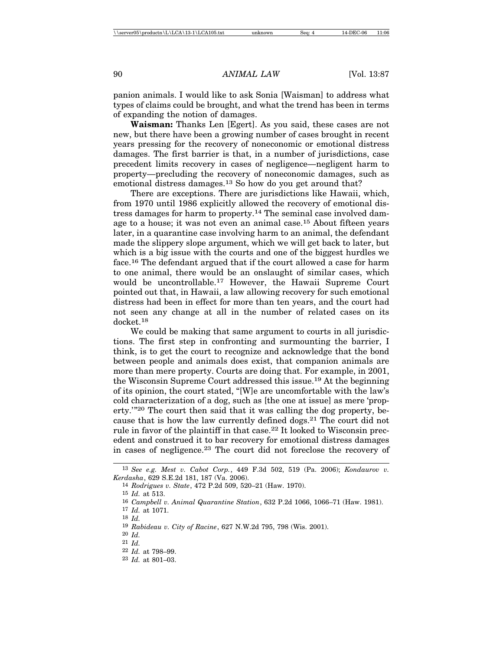panion animals. I would like to ask Sonia [Waisman] to address what types of claims could be brought, and what the trend has been in terms of expanding the notion of damages.

**Waisman:** Thanks Len [Egert]. As you said, these cases are not new, but there have been a growing number of cases brought in recent years pressing for the recovery of noneconomic or emotional distress damages. The first barrier is that, in a number of jurisdictions, case precedent limits recovery in cases of negligence—negligent harm to property—precluding the recovery of noneconomic damages, such as emotional distress damages.13 So how do you get around that?

There are exceptions. There are jurisdictions like Hawaii, which, from 1970 until 1986 explicitly allowed the recovery of emotional distress damages for harm to property.14 The seminal case involved damage to a house; it was not even an animal case.15 About fifteen years later, in a quarantine case involving harm to an animal, the defendant made the slippery slope argument, which we will get back to later, but which is a big issue with the courts and one of the biggest hurdles we face.16 The defendant argued that if the court allowed a case for harm to one animal, there would be an onslaught of similar cases, which would be uncontrollable.17 However, the Hawaii Supreme Court pointed out that, in Hawaii, a law allowing recovery for such emotional distress had been in effect for more than ten years, and the court had not seen any change at all in the number of related cases on its docket.18

We could be making that same argument to courts in all jurisdictions. The first step in confronting and surmounting the barrier, I think, is to get the court to recognize and acknowledge that the bond between people and animals does exist, that companion animals are more than mere property. Courts are doing that. For example, in 2001, the Wisconsin Supreme Court addressed this issue.19 At the beginning of its opinion, the court stated, "[W]e are uncomfortable with the law's cold characterization of a dog, such as [the one at issue] as mere 'property.'"20 The court then said that it was calling the dog property, because that is how the law currently defined dogs.21 The court did not rule in favor of the plaintiff in that case.<sup>22</sup> It looked to Wisconsin precedent and construed it to bar recovery for emotional distress damages in cases of negligence.23 The court did not foreclose the recovery of

<sup>13</sup> *See e.g. Mest v. Cabot Corp.*, 449 F.3d 502, 519 (Pa. 2006); *Kondaurov v. Kerdasha*, 629 S.E.2d 181, 187 (Va. 2006).

<sup>14</sup> *Rodrigues v. State*, 472 P.2d 509, 520–21 (Haw. 1970).

<sup>15</sup> *Id.* at 513.

<sup>16</sup> *Campbell v. Animal Quarantine Station*, 632 P.2d 1066, 1066–71 (Haw. 1981).

<sup>17</sup> *Id.* at 1071.

<sup>18</sup> *Id.*

<sup>19</sup> *Rabideau v. City of Racine*, 627 N.W.2d 795, 798 (Wis. 2001).

<sup>20</sup> *Id.*

<sup>21</sup> *Id.*

<sup>22</sup> *Id.* at 798–99.

<sup>23</sup> *Id.* at 801–03.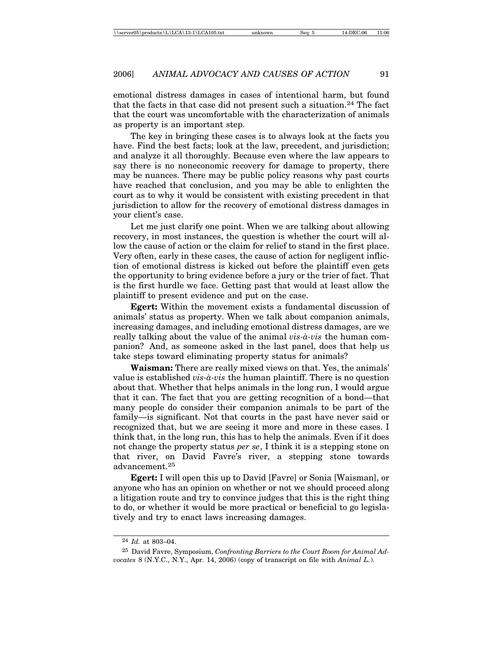emotional distress damages in cases of intentional harm, but found that the facts in that case did not present such a situation.24 The fact that the court was uncomfortable with the characterization of animals as property is an important step.

The key in bringing these cases is to always look at the facts you have. Find the best facts; look at the law, precedent, and jurisdiction; and analyze it all thoroughly. Because even where the law appears to say there is no noneconomic recovery for damage to property, there may be nuances. There may be public policy reasons why past courts have reached that conclusion, and you may be able to enlighten the court as to why it would be consistent with existing precedent in that jurisdiction to allow for the recovery of emotional distress damages in your client's case.

Let me just clarify one point. When we are talking about allowing recovery, in most instances, the question is whether the court will allow the cause of action or the claim for relief to stand in the first place. Very often, early in these cases, the cause of action for negligent infliction of emotional distress is kicked out before the plaintiff even gets the opportunity to bring evidence before a jury or the trier of fact. That is the first hurdle we face. Getting past that would at least allow the plaintiff to present evidence and put on the case.

**Egert:** Within the movement exists a fundamental discussion of animals' status as property. When we talk about companion animals, increasing damages, and including emotional distress damages, are we really talking about the value of the animal *vis-à-vis* the human companion? And, as someone asked in the last panel, does that help us take steps toward eliminating property status for animals?

**Waisman:** There are really mixed views on that. Yes, the animals' value is established *vis-à-vis* the human plaintiff. There is no question about that. Whether that helps animals in the long run, I would argue that it can. The fact that you are getting recognition of a bond—that many people do consider their companion animals to be part of the family—is significant. Not that courts in the past have never said or recognized that, but we are seeing it more and more in these cases. I think that, in the long run, this has to help the animals. Even if it does not change the property status *per se*, I think it is a stepping stone on that river, on David Favre's river, a stepping stone towards advancement.<sup>25</sup>

**Egert:** I will open this up to David [Favre] or Sonia [Waisman], or anyone who has an opinion on whether or not we should proceed along a litigation route and try to convince judges that this is the right thing to do, or whether it would be more practical or beneficial to go legislatively and try to enact laws increasing damages.

<sup>24</sup> *Id.* at 803–04.

<sup>25</sup> David Favre, Symposium, *Confronting Barriers to the Court Room for Animal Advocates* 8 (N.Y.C., N.Y., Apr. 14, 2006) (copy of transcript on file with *Animal L.*).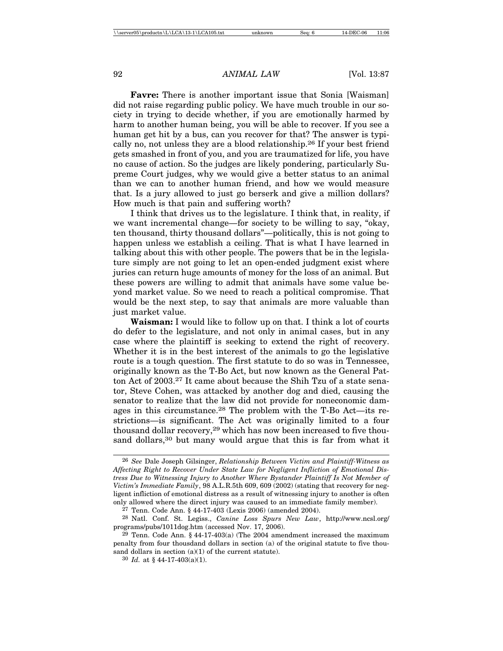**Favre:** There is another important issue that Sonia [Waisman] did not raise regarding public policy. We have much trouble in our society in trying to decide whether, if you are emotionally harmed by harm to another human being, you will be able to recover. If you see a human get hit by a bus, can you recover for that? The answer is typically no, not unless they are a blood relationship.26 If your best friend gets smashed in front of you, and you are traumatized for life, you have no cause of action. So the judges are likely pondering, particularly Supreme Court judges, why we would give a better status to an animal than we can to another human friend, and how we would measure that. Is a jury allowed to just go berserk and give a million dollars? How much is that pain and suffering worth?

I think that drives us to the legislature. I think that, in reality, if we want incremental change—for society to be willing to say, "okay, ten thousand, thirty thousand dollars"—politically, this is not going to happen unless we establish a ceiling. That is what I have learned in talking about this with other people. The powers that be in the legislature simply are not going to let an open-ended judgment exist where juries can return huge amounts of money for the loss of an animal. But these powers are willing to admit that animals have some value beyond market value. So we need to reach a political compromise. That would be the next step, to say that animals are more valuable than just market value.

**Waisman:** I would like to follow up on that. I think a lot of courts do defer to the legislature, and not only in animal cases, but in any case where the plaintiff is seeking to extend the right of recovery. Whether it is in the best interest of the animals to go the legislative route is a tough question. The first statute to do so was in Tennessee, originally known as the T-Bo Act, but now known as the General Patton Act of 2003.27 It came about because the Shih Tzu of a state senator, Steve Cohen, was attacked by another dog and died, causing the senator to realize that the law did not provide for noneconomic damages in this circumstance.28 The problem with the T-Bo Act—its restrictions—is significant. The Act was originally limited to a four thousand dollar recovery,29 which has now been increased to five thousand dollars,<sup>30</sup> but many would argue that this is far from what it

<sup>26</sup> *See* Dale Joseph Gilsinger, *Relationship Between Victim and Plaintiff-Witness as Affecting Right to Recover Under State Law for Negligent Infliction of Emotional Distress Due to Witnessing Injury to Another Where Bystander Plaintiff Is Not Member of Victim's Immediate Family*, 98 A.L.R.5th 609, 609 (2002) (stating that recovery for negligent infliction of emotional distress as a result of witnessing injury to another is often only allowed where the direct injury was caused to an immediate family member).

<sup>27</sup> Tenn. Code Ann. § 44-17-403 (Lexis 2006) (amended 2004).

<sup>28</sup> Natl. Conf. St. Legiss., *Canine Loss Spurs New Law*, http://www.ncsl.org/ programs/pubs/1011dog.htm (accessed Nov. 17, 2006).

<sup>&</sup>lt;sup>29</sup> Tenn. Code Ann. §  $44-17-403(a)$  (The 2004 amendment increased the maximum penalty from four thousdand dollars in section (a) of the original statute to five thousand dollars in section (a)(1) of the current statute).

<sup>30</sup> *Id.* at § 44-17-403(a)(1).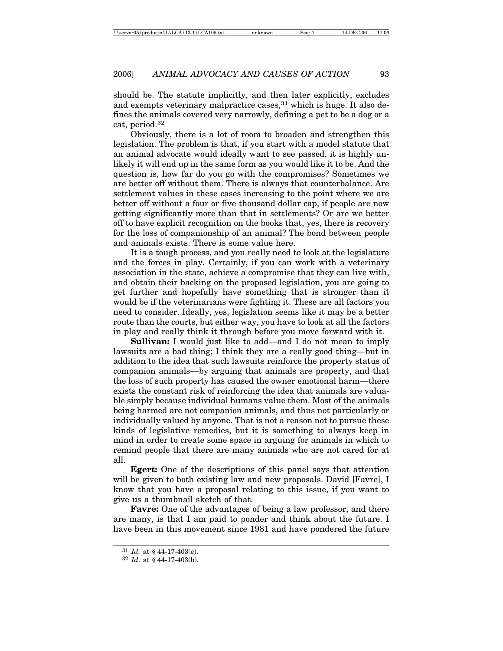should be. The statute implicitly, and then later explicitly, excludes and exempts veterinary malpractice cases,  $31$  which is huge. It also defines the animals covered very narrowly, defining a pet to be a dog or a cat, period.32

Obviously, there is a lot of room to broaden and strengthen this legislation. The problem is that, if you start with a model statute that an animal advocate would ideally want to see passed, it is highly unlikely it will end up in the same form as you would like it to be. And the question is, how far do you go with the compromises? Sometimes we are better off without them. There is always that counterbalance. Are settlement values in these cases increasing to the point where we are better off without a four or five thousand dollar cap, if people are now getting significantly more than that in settlements? Or are we better off to have explicit recognition on the books that, yes, there is recovery for the loss of companionship of an animal? The bond between people and animals exists. There is some value here.

It is a tough process, and you really need to look at the legislature and the forces in play. Certainly, if you can work with a veterinary association in the state, achieve a compromise that they can live with, and obtain their backing on the proposed legislation, you are going to get further and hopefully have something that is stronger than it would be if the veterinarians were fighting it. These are all factors you need to consider. Ideally, yes, legislation seems like it may be a better route than the courts, but either way, you have to look at all the factors in play and really think it through before you move forward with it.

**Sullivan:** I would just like to add—and I do not mean to imply lawsuits are a bad thing; I think they are a really good thing—but in addition to the idea that such lawsuits reinforce the property status of companion animals—by arguing that animals are property, and that the loss of such property has caused the owner emotional harm—there exists the constant risk of reinforcing the idea that animals are valuable simply because individual humans value them. Most of the animals being harmed are not companion animals, and thus not particularly or individually valued by anyone. That is not a reason not to pursue these kinds of legislative remedies, but it is something to always keep in mind in order to create some space in arguing for animals in which to remind people that there are many animals who are not cared for at all.

**Egert:** One of the descriptions of this panel says that attention will be given to both existing law and new proposals. David [Favre], I know that you have a proposal relating to this issue, if you want to give us a thumbnail sketch of that.

**Favre:** One of the advantages of being a law professor, and there are many, is that I am paid to ponder and think about the future. I have been in this movement since 1981 and have pondered the future

<sup>31</sup> *Id.* at § 44-17-403(e).

<sup>32</sup> *Id*. at § 44-17-403(b).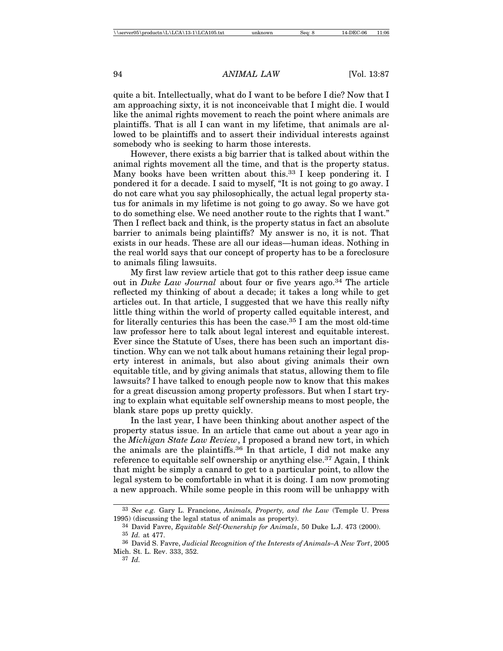quite a bit. Intellectually, what do I want to be before I die? Now that I am approaching sixty, it is not inconceivable that I might die. I would like the animal rights movement to reach the point where animals are plaintiffs. That is all I can want in my lifetime, that animals are allowed to be plaintiffs and to assert their individual interests against somebody who is seeking to harm those interests.

However, there exists a big barrier that is talked about within the animal rights movement all the time, and that is the property status. Many books have been written about this.<sup>33</sup> I keep pondering it. I pondered it for a decade. I said to myself, "It is not going to go away. I do not care what you say philosophically, the actual legal property status for animals in my lifetime is not going to go away. So we have got to do something else. We need another route to the rights that I want." Then I reflect back and think, is the property status in fact an absolute barrier to animals being plaintiffs? My answer is no, it is not. That exists in our heads. These are all our ideas—human ideas. Nothing in the real world says that our concept of property has to be a foreclosure to animals filing lawsuits.

My first law review article that got to this rather deep issue came out in *Duke Law Journal* about four or five years ago.<sup>34</sup> The article reflected my thinking of about a decade; it takes a long while to get articles out. In that article, I suggested that we have this really nifty little thing within the world of property called equitable interest, and for literally centuries this has been the case.35 I am the most old-time law professor here to talk about legal interest and equitable interest. Ever since the Statute of Uses, there has been such an important distinction. Why can we not talk about humans retaining their legal property interest in animals, but also about giving animals their own equitable title, and by giving animals that status, allowing them to file lawsuits? I have talked to enough people now to know that this makes for a great discussion among property professors. But when I start trying to explain what equitable self ownership means to most people, the blank stare pops up pretty quickly.

In the last year, I have been thinking about another aspect of the property status issue. In an article that came out about a year ago in the *Michigan State Law Review*, I proposed a brand new tort, in which the animals are the plaintiffs.36 In that article, I did not make any reference to equitable self ownership or anything else.<sup>37</sup> Again, I think that might be simply a canard to get to a particular point, to allow the legal system to be comfortable in what it is doing. I am now promoting a new approach. While some people in this room will be unhappy with

<sup>33</sup> *See e.g.* Gary L. Francione, *Animals, Property, and the Law* (Temple U. Press 1995) (discussing the legal status of animals as property).

<sup>34</sup> David Favre, *Equitable Self-Ownership for Animals*, 50 Duke L.J. 473 (2000). 35 *Id.* at 477.

<sup>36</sup> David S. Favre, *Judicial Recognition of the Interests of Animals–A New Tort*, 2005 Mich. St. L. Rev. 333, 352.

<sup>37</sup> *Id.*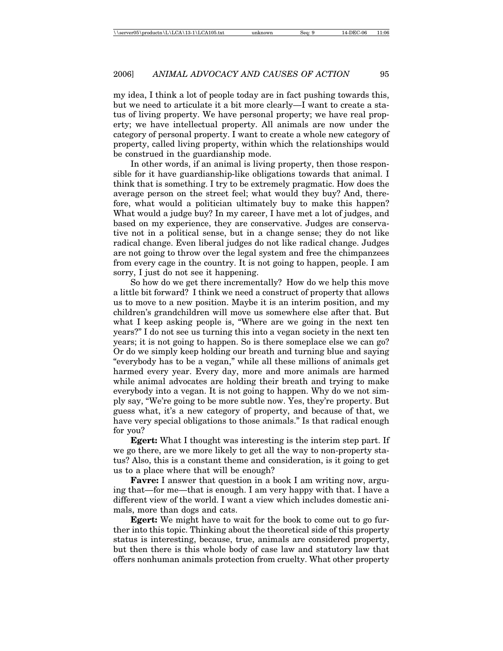my idea, I think a lot of people today are in fact pushing towards this, but we need to articulate it a bit more clearly—I want to create a status of living property. We have personal property; we have real property; we have intellectual property. All animals are now under the category of personal property. I want to create a whole new category of property, called living property, within which the relationships would be construed in the guardianship mode.

In other words, if an animal is living property, then those responsible for it have guardianship-like obligations towards that animal. I think that is something. I try to be extremely pragmatic. How does the average person on the street feel; what would they buy? And, therefore, what would a politician ultimately buy to make this happen? What would a judge buy? In my career, I have met a lot of judges, and based on my experience, they are conservative. Judges are conservative not in a political sense, but in a change sense; they do not like radical change. Even liberal judges do not like radical change. Judges are not going to throw over the legal system and free the chimpanzees from every cage in the country. It is not going to happen, people. I am sorry, I just do not see it happening.

So how do we get there incrementally? How do we help this move a little bit forward? I think we need a construct of property that allows us to move to a new position. Maybe it is an interim position, and my children's grandchildren will move us somewhere else after that. But what I keep asking people is, "Where are we going in the next ten years?" I do not see us turning this into a vegan society in the next ten years; it is not going to happen. So is there someplace else we can go? Or do we simply keep holding our breath and turning blue and saying "everybody has to be a vegan," while all these millions of animals get harmed every year. Every day, more and more animals are harmed while animal advocates are holding their breath and trying to make everybody into a vegan. It is not going to happen. Why do we not simply say, "We're going to be more subtle now. Yes, they're property. But guess what, it's a new category of property, and because of that, we have very special obligations to those animals." Is that radical enough for you?

**Egert:** What I thought was interesting is the interim step part. If we go there, are we more likely to get all the way to non-property status? Also, this is a constant theme and consideration, is it going to get us to a place where that will be enough?

**Favre:** I answer that question in a book I am writing now, arguing that—for me—that is enough. I am very happy with that. I have a different view of the world. I want a view which includes domestic animals, more than dogs and cats.

**Egert:** We might have to wait for the book to come out to go further into this topic. Thinking about the theoretical side of this property status is interesting, because, true, animals are considered property, but then there is this whole body of case law and statutory law that offers nonhuman animals protection from cruelty. What other property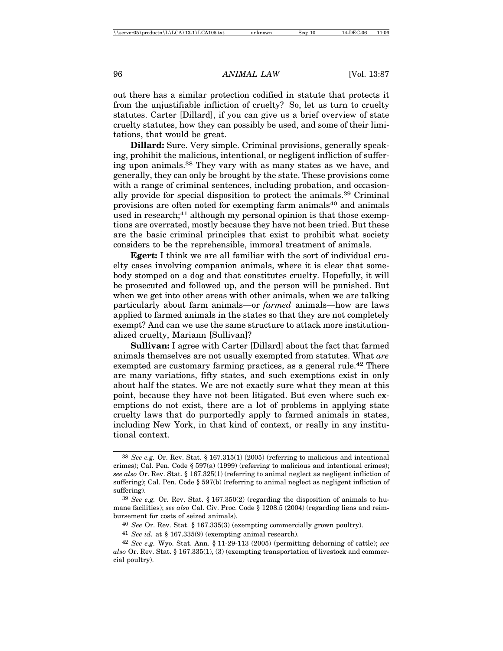out there has a similar protection codified in statute that protects it from the unjustifiable infliction of cruelty? So, let us turn to cruelty statutes. Carter [Dillard], if you can give us a brief overview of state cruelty statutes, how they can possibly be used, and some of their limitations, that would be great.

**Dillard:** Sure. Very simple. Criminal provisions, generally speaking, prohibit the malicious, intentional, or negligent infliction of suffering upon animals.38 They vary with as many states as we have, and generally, they can only be brought by the state. These provisions come with a range of criminal sentences, including probation, and occasionally provide for special disposition to protect the animals.39 Criminal provisions are often noted for exempting farm animals<sup>40</sup> and animals used in research;<sup>41</sup> although my personal opinion is that those exemptions are overrated, mostly because they have not been tried. But these are the basic criminal principles that exist to prohibit what society considers to be the reprehensible, immoral treatment of animals.

**Egert:** I think we are all familiar with the sort of individual cruelty cases involving companion animals, where it is clear that somebody stomped on a dog and that constitutes cruelty. Hopefully, it will be prosecuted and followed up, and the person will be punished. But when we get into other areas with other animals, when we are talking particularly about farm animals—or *farmed* animals—how are laws applied to farmed animals in the states so that they are not completely exempt? And can we use the same structure to attack more institutionalized cruelty, Mariann [Sullivan]?

**Sullivan:** I agree with Carter [Dillard] about the fact that farmed animals themselves are not usually exempted from statutes. What *are* exempted are customary farming practices, as a general rule.<sup>42</sup> There are many variations, fifty states, and such exemptions exist in only about half the states. We are not exactly sure what they mean at this point, because they have not been litigated. But even where such exemptions do not exist, there are a lot of problems in applying state cruelty laws that do purportedly apply to farmed animals in states, including New York, in that kind of context, or really in any institutional context.

<sup>38</sup> *See e.g.* Or. Rev. Stat. § 167.315(1) (2005) (referring to malicious and intentional crimes); Cal. Pen. Code § 597(a) (1999) (referring to malicious and intentional crimes); *see also* Or. Rev. Stat. § 167.325(1) (referring to animal neglect as negligent infliction of suffering); Cal. Pen. Code § 597(b) (referring to animal neglect as negligent infliction of suffering).

<sup>39</sup> *See e.g.* Or. Rev. Stat. § 167.350(2) (regarding the disposition of animals to humane facilities); *see also* Cal. Civ. Proc. Code § 1208.5 (2004) (regarding liens and reimbursement for costs of seized animals).

<sup>40</sup> *See* Or. Rev. Stat. § 167.335(3) (exempting commercially grown poultry).

<sup>41</sup> *See id.* at § 167.335(9) (exempting animal research).

<sup>42</sup> *See e.g.* Wyo. Stat. Ann. § 11-29-113 (2005) (permitting dehorning of cattle); *see also* Or. Rev. Stat. § 167.335(1), (3) (exempting transportation of livestock and commercial poultry).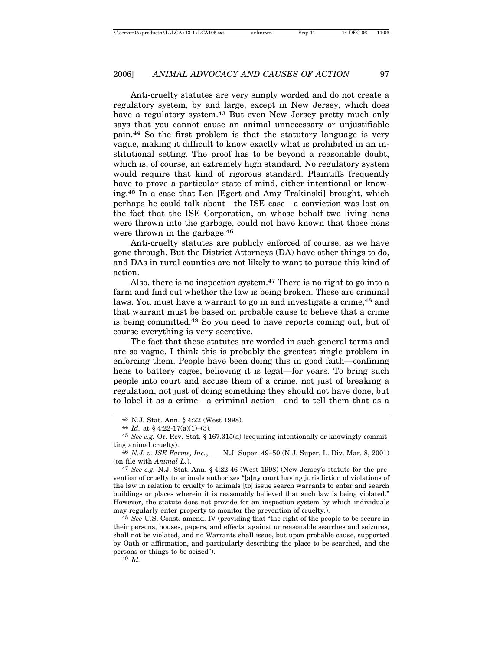Anti-cruelty statutes are very simply worded and do not create a regulatory system, by and large, except in New Jersey, which does have a regulatory system.<sup>43</sup> But even New Jersey pretty much only says that you cannot cause an animal unnecessary or unjustifiable pain.44 So the first problem is that the statutory language is very vague, making it difficult to know exactly what is prohibited in an institutional setting. The proof has to be beyond a reasonable doubt, which is, of course, an extremely high standard. No regulatory system would require that kind of rigorous standard. Plaintiffs frequently have to prove a particular state of mind, either intentional or knowing.45 In a case that Len [Egert and Amy Trakinski] brought, which perhaps he could talk about—the ISE case—a conviction was lost on the fact that the ISE Corporation, on whose behalf two living hens were thrown into the garbage, could not have known that those hens were thrown in the garbage.<sup>46</sup>

Anti-cruelty statutes are publicly enforced of course, as we have gone through. But the District Attorneys (DA) have other things to do, and DAs in rural counties are not likely to want to pursue this kind of action.

Also, there is no inspection system.<sup>47</sup> There is no right to go into a farm and find out whether the law is being broken. These are criminal laws. You must have a warrant to go in and investigate a crime,<sup>48</sup> and that warrant must be based on probable cause to believe that a crime is being committed.49 So you need to have reports coming out, but of course everything is very secretive.

The fact that these statutes are worded in such general terms and are so vague, I think this is probably the greatest single problem in enforcing them. People have been doing this in good faith—confining hens to battery cages, believing it is legal—for years. To bring such people into court and accuse them of a crime, not just of breaking a regulation, not just of doing something they should not have done, but to label it as a crime—a criminal action—and to tell them that as a

48 *See* U.S. Const. amend. IV (providing that "the right of the people to be secure in their persons, houses, papers, and effects, against unreasonable searches and seizures, shall not be violated, and no Warrants shall issue, but upon probable cause, supported by Oath or affirmation, and particularly describing the place to be searched, and the persons or things to be seized").

49 *Id.*

<sup>43</sup> N.J. Stat. Ann. § 4:22 (West 1998).

<sup>44</sup> *Id.* at § 4:22-17(a)(1)–(3).

<sup>45</sup> *See e.g.* Or. Rev. Stat. § 167.315(a) (requiring intentionally or knowingly committing animal cruelty).

<sup>46</sup> *N.J. v. ISE Farms, Inc.*, *\_\_\_* N.J. Super. 49–50 (N.J. Super. L. Div. Mar. 8, 2001) (on file with *Animal L.*).

<sup>47</sup> *See e.g.* N.J. Stat. Ann. § 4:22-46 (West 1998) (New Jersey's statute for the prevention of cruelty to animals authorizes "[a]ny court having jurisdiction of violations of the law in relation to cruelty to animals [to] issue search warrants to enter and search buildings or places wherein it is reasonably believed that such law is being violated." However, the statute does not provide for an inspection system by which individuals may regularly enter property to monitor the prevention of cruelty.).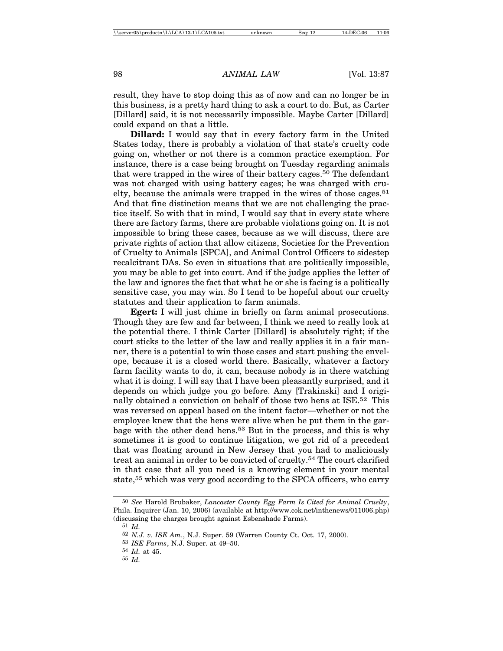result, they have to stop doing this as of now and can no longer be in this business, is a pretty hard thing to ask a court to do. But, as Carter [Dillard] said, it is not necessarily impossible. Maybe Carter [Dillard] could expand on that a little.

**Dillard:** I would say that in every factory farm in the United States today, there is probably a violation of that state's cruelty code going on, whether or not there is a common practice exemption. For instance, there is a case being brought on Tuesday regarding animals that were trapped in the wires of their battery cages.50 The defendant was not charged with using battery cages; he was charged with cruelty, because the animals were trapped in the wires of those cages.<sup>51</sup> And that fine distinction means that we are not challenging the practice itself. So with that in mind, I would say that in every state where there are factory farms, there are probable violations going on. It is not impossible to bring these cases, because as we will discuss, there are private rights of action that allow citizens, Societies for the Prevention of Cruelty to Animals [SPCA], and Animal Control Officers to sidestep recalcitrant DAs. So even in situations that are politically impossible, you may be able to get into court. And if the judge applies the letter of the law and ignores the fact that what he or she is facing is a politically sensitive case, you may win. So I tend to be hopeful about our cruelty statutes and their application to farm animals.

**Egert:** I will just chime in briefly on farm animal prosecutions. Though they are few and far between, I think we need to really look at the potential there. I think Carter [Dillard] is absolutely right; if the court sticks to the letter of the law and really applies it in a fair manner, there is a potential to win those cases and start pushing the envelope, because it is a closed world there. Basically, whatever a factory farm facility wants to do, it can, because nobody is in there watching what it is doing. I will say that I have been pleasantly surprised, and it depends on which judge you go before. Amy [Trakinski] and I originally obtained a conviction on behalf of those two hens at ISE.<sup>52</sup> This was reversed on appeal based on the intent factor—whether or not the employee knew that the hens were alive when he put them in the garbage with the other dead hens.53 But in the process, and this is why sometimes it is good to continue litigation, we got rid of a precedent that was floating around in New Jersey that you had to maliciously treat an animal in order to be convicted of cruelty.54 The court clarified in that case that all you need is a knowing element in your mental state,<sup>55</sup> which was very good according to the SPCA officers, who carry

<sup>50</sup> *See* Harold Brubaker, *Lancaster County Egg Farm Is Cited for Animal Cruelty*, Phila. Inquirer (Jan. 10, 2006) (available at http://www.cok.net/inthenews/011006.php) (discussing the charges brought against Esbenshade Farms).

<sup>51</sup> *Id.*

<sup>52</sup> *N.J. v. ISE Am.*, N.J. Super. 59 (Warren County Ct. Oct. 17, 2000).

<sup>53</sup> *ISE Farms*, N.J. Super. at 49–50.

<sup>54</sup> *Id.* at 45.

<sup>55</sup> *Id.*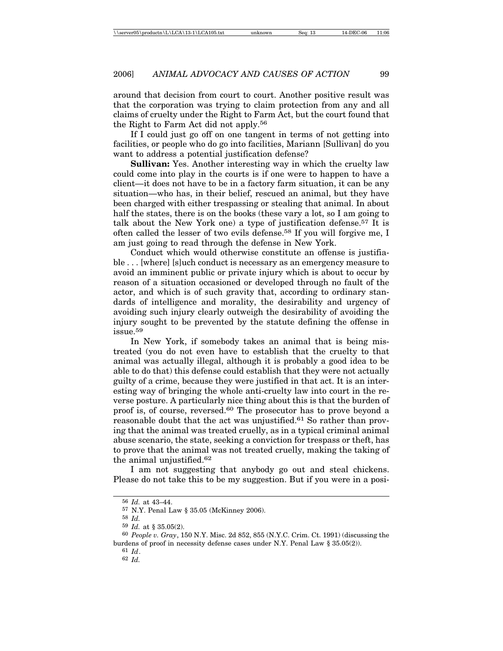around that decision from court to court. Another positive result was that the corporation was trying to claim protection from any and all claims of cruelty under the Right to Farm Act, but the court found that the Right to Farm Act did not apply.56

If I could just go off on one tangent in terms of not getting into facilities, or people who do go into facilities, Mariann [Sullivan] do you want to address a potential justification defense?

**Sullivan:** Yes. Another interesting way in which the cruelty law could come into play in the courts is if one were to happen to have a client—it does not have to be in a factory farm situation, it can be any situation—who has, in their belief, rescued an animal, but they have been charged with either trespassing or stealing that animal. In about half the states, there is on the books (these vary a lot, so I am going to talk about the New York one) a type of justification defense.<sup>57</sup> It is often called the lesser of two evils defense.58 If you will forgive me, I am just going to read through the defense in New York.

Conduct which would otherwise constitute an offense is justifiable . . . [where] [s]uch conduct is necessary as an emergency measure to avoid an imminent public or private injury which is about to occur by reason of a situation occasioned or developed through no fault of the actor, and which is of such gravity that, according to ordinary standards of intelligence and morality, the desirability and urgency of avoiding such injury clearly outweigh the desirability of avoiding the injury sought to be prevented by the statute defining the offense in issue.59

In New York, if somebody takes an animal that is being mistreated (you do not even have to establish that the cruelty to that animal was actually illegal, although it is probably a good idea to be able to do that) this defense could establish that they were not actually guilty of a crime, because they were justified in that act. It is an interesting way of bringing the whole anti-cruelty law into court in the reverse posture. A particularly nice thing about this is that the burden of proof is, of course, reversed.60 The prosecutor has to prove beyond a reasonable doubt that the act was unjustified.<sup>61</sup> So rather than proving that the animal was treated cruelly, as in a typical criminal animal abuse scenario, the state, seeking a conviction for trespass or theft, has to prove that the animal was not treated cruelly, making the taking of the animal unjustified.62

I am not suggesting that anybody go out and steal chickens. Please do not take this to be my suggestion. But if you were in a posi-

<sup>56</sup> *Id.* at 43–44.

<sup>57</sup> N.Y. Penal Law § 35.05 (McKinney 2006).

<sup>58</sup> *Id.*

<sup>59</sup> *Id.* at § 35.05(2).

<sup>60</sup> *People v. Gray*, 150 N.Y. Misc. 2d 852, 855 (N.Y.C. Crim. Ct. 1991) (discussing the burdens of proof in necessity defense cases under N.Y. Penal Law § 35.05(2)).

<sup>61</sup> *Id*.

<sup>62</sup> *Id.*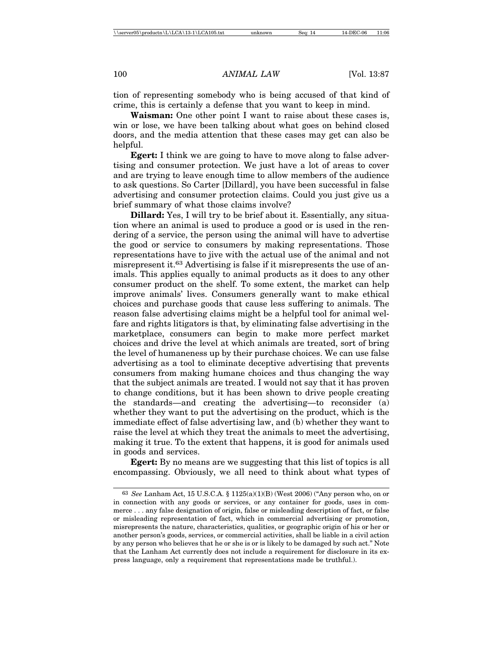tion of representing somebody who is being accused of that kind of crime, this is certainly a defense that you want to keep in mind.

**Waisman:** One other point I want to raise about these cases is, win or lose, we have been talking about what goes on behind closed doors, and the media attention that these cases may get can also be helpful.

**Egert:** I think we are going to have to move along to false advertising and consumer protection. We just have a lot of areas to cover and are trying to leave enough time to allow members of the audience to ask questions. So Carter [Dillard], you have been successful in false advertising and consumer protection claims. Could you just give us a brief summary of what those claims involve?

**Dillard:** Yes, I will try to be brief about it. Essentially, any situation where an animal is used to produce a good or is used in the rendering of a service, the person using the animal will have to advertise the good or service to consumers by making representations. Those representations have to jive with the actual use of the animal and not misrepresent it.63 Advertising is false if it misrepresents the use of animals. This applies equally to animal products as it does to any other consumer product on the shelf. To some extent, the market can help improve animals' lives. Consumers generally want to make ethical choices and purchase goods that cause less suffering to animals. The reason false advertising claims might be a helpful tool for animal welfare and rights litigators is that, by eliminating false advertising in the marketplace, consumers can begin to make more perfect market choices and drive the level at which animals are treated, sort of bring the level of humaneness up by their purchase choices. We can use false advertising as a tool to eliminate deceptive advertising that prevents consumers from making humane choices and thus changing the way that the subject animals are treated. I would not say that it has proven to change conditions, but it has been shown to drive people creating the standards—and creating the advertising—to reconsider (a) whether they want to put the advertising on the product, which is the immediate effect of false advertising law, and (b) whether they want to raise the level at which they treat the animals to meet the advertising, making it true. To the extent that happens, it is good for animals used in goods and services.

**Egert:** By no means are we suggesting that this list of topics is all encompassing. Obviously, we all need to think about what types of

<sup>63</sup> *See* Lanham Act, 15 U.S.C.A. § 1125(a)(1)(B) (West 2006) ("Any person who, on or in connection with any goods or services, or any container for goods, uses in commerce . . . any false designation of origin, false or misleading description of fact, or false or misleading representation of fact, which in commercial advertising or promotion, misrepresents the nature, characteristics, qualities, or geographic origin of his or her or another person's goods, services, or commercial activities, shall be liable in a civil action by any person who believes that he or she is or is likely to be damaged by such act." Note that the Lanham Act currently does not include a requirement for disclosure in its express language, only a requirement that representations made be truthful.).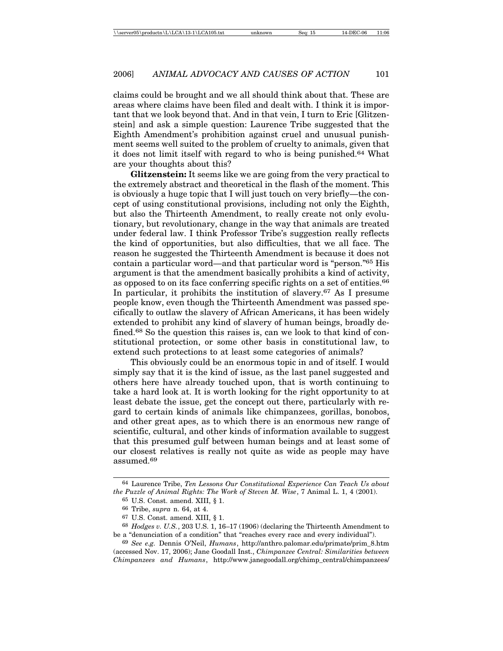claims could be brought and we all should think about that. These are areas where claims have been filed and dealt with. I think it is important that we look beyond that. And in that vein, I turn to Eric [Glitzenstein] and ask a simple question: Laurence Tribe suggested that the Eighth Amendment's prohibition against cruel and unusual punishment seems well suited to the problem of cruelty to animals, given that it does not limit itself with regard to who is being punished.64 What are your thoughts about this?

**Glitzenstein:** It seems like we are going from the very practical to the extremely abstract and theoretical in the flash of the moment. This is obviously a huge topic that I will just touch on very briefly—the concept of using constitutional provisions, including not only the Eighth, but also the Thirteenth Amendment, to really create not only evolutionary, but revolutionary, change in the way that animals are treated under federal law. I think Professor Tribe's suggestion really reflects the kind of opportunities, but also difficulties, that we all face. The reason he suggested the Thirteenth Amendment is because it does not contain a particular word—and that particular word is "person."65 His argument is that the amendment basically prohibits a kind of activity, as opposed to on its face conferring specific rights on a set of entities.66 In particular, it prohibits the institution of slavery.<sup>67</sup> As I presume people know, even though the Thirteenth Amendment was passed specifically to outlaw the slavery of African Americans, it has been widely extended to prohibit any kind of slavery of human beings, broadly defined.68 So the question this raises is, can we look to that kind of constitutional protection, or some other basis in constitutional law, to extend such protections to at least some categories of animals?

This obviously could be an enormous topic in and of itself. I would simply say that it is the kind of issue, as the last panel suggested and others here have already touched upon, that is worth continuing to take a hard look at. It is worth looking for the right opportunity to at least debate the issue, get the concept out there, particularly with regard to certain kinds of animals like chimpanzees, gorillas, bonobos, and other great apes, as to which there is an enormous new range of scientific, cultural, and other kinds of information available to suggest that this presumed gulf between human beings and at least some of our closest relatives is really not quite as wide as people may have assumed.<sup>69</sup>

<sup>64</sup> Laurence Tribe, *Ten Lessons Our Constitutional Experience Can Teach Us about the Puzzle of Animal Rights: The Work of Steven M. Wise*, 7 Animal L. 1, 4 (2001).

<sup>65</sup> U.S. Const. amend. XIII, § 1.

<sup>66</sup> Tribe, *supra* n. 64, at 4.

<sup>67</sup> U.S. Const. amend. XIII, § 1.

<sup>68</sup> *Hodges v. U.S.*, 203 U.S. 1, 16–17 (1906) (declaring the Thirteenth Amendment to be a "denunciation of a condition" that "reaches every race and every individual").

<sup>69</sup> *See e.g.* Dennis O'Neil, *Humans*, http://anthro.palomar.edu/primate/prim\_8.htm (accessed Nov. 17, 2006); Jane Goodall Inst., *Chimpanzee Central: Similarities between Chimpanzees and Humans*, http://www.janegoodall.org/chimp\_central/chimpanzees/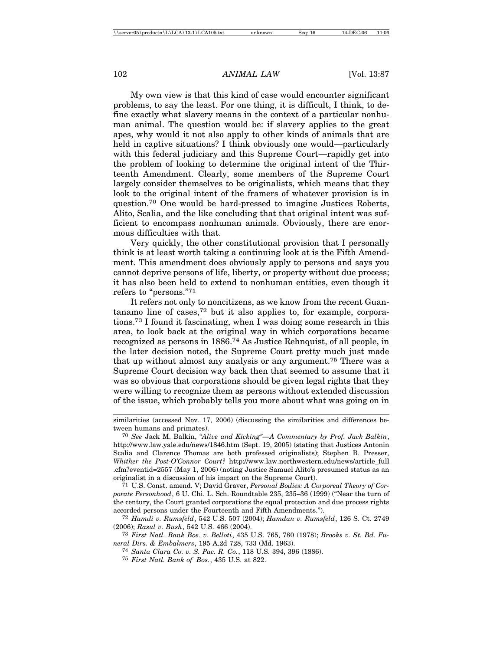My own view is that this kind of case would encounter significant problems, to say the least. For one thing, it is difficult, I think, to define exactly what slavery means in the context of a particular nonhuman animal. The question would be: if slavery applies to the great apes, why would it not also apply to other kinds of animals that are held in captive situations? I think obviously one would—particularly with this federal judiciary and this Supreme Court—rapidly get into the problem of looking to determine the original intent of the Thirteenth Amendment. Clearly, some members of the Supreme Court largely consider themselves to be originalists, which means that they look to the original intent of the framers of whatever provision is in question.70 One would be hard-pressed to imagine Justices Roberts, Alito, Scalia, and the like concluding that that original intent was sufficient to encompass nonhuman animals. Obviously, there are enormous difficulties with that.

Very quickly, the other constitutional provision that I personally think is at least worth taking a continuing look at is the Fifth Amendment. This amendment does obviously apply to persons and says you cannot deprive persons of life, liberty, or property without due process; it has also been held to extend to nonhuman entities, even though it refers to "persons."71

It refers not only to noncitizens, as we know from the recent Guantanamo line of cases,72 but it also applies to, for example, corporations.73 I found it fascinating, when I was doing some research in this area, to look back at the original way in which corporations became recognized as persons in 1886.74 As Justice Rehnquist, of all people, in the later decision noted, the Supreme Court pretty much just made that up without almost any analysis or any argument.75 There was a Supreme Court decision way back then that seemed to assume that it was so obvious that corporations should be given legal rights that they were willing to recognize them as persons without extended discussion of the issue, which probably tells you more about what was going on in

similarities (accessed Nov. 17, 2006) (discussing the similarities and differences between humans and primates).

<sup>70</sup> *See* Jack M. Balkin, *"Alive and Kicking"—A Commentary by Prof. Jack Balkin*, http://www.law.yale.edu/news/1846.htm (Sept. 19, 2005) (stating that Justices Antonin Scalia and Clarence Thomas are both professed originalists); Stephen B. Presser, *Whither the Post-O'Connor Court?* http://www.law.northwestern.edu/news/article\_full .cfm?eventid=2557 (May 1, 2006) (noting Justice Samuel Alito's presumed status as an originalist in a discussion of his impact on the Supreme Court).

<sup>71</sup> U.S. Const. amend. V; David Graver, *Personal Bodies: A Corporeal Theory of Corporate Personhood*, 6 U. Chi. L. Sch. Roundtable 235, 235–36 (1999) ("Near the turn of the century, the Court granted corporations the equal protection and due process rights accorded persons under the Fourteenth and Fifth Amendments.").

<sup>72</sup> *Hamdi v. Rumsfeld*, 542 U.S. 507 (2004); *Hamdan v. Rumsfeld*, 126 S. Ct. 2749 (2006); *Rasul v. Bush*, 542 U.S. 466 (2004).

<sup>73</sup> *First Natl. Bank Bos. v. Belloti*, 435 U.S. 765, 780 (1978); *Brooks v. St. Bd. Funeral Dirs. & Embalmers*, 195 A.2d 728, 733 (Md. 1963).

<sup>74</sup> *Santa Clara Co. v. S. Pac. R. Co.*, 118 U.S. 394, 396 (1886).

<sup>75</sup> *First Natl. Bank of Bos.*, 435 U.S. at 822.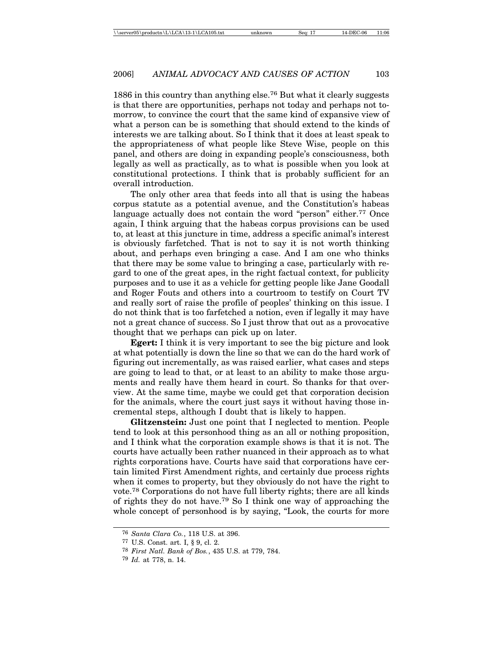1886 in this country than anything else.76 But what it clearly suggests is that there are opportunities, perhaps not today and perhaps not tomorrow, to convince the court that the same kind of expansive view of what a person can be is something that should extend to the kinds of interests we are talking about. So I think that it does at least speak to the appropriateness of what people like Steve Wise, people on this panel, and others are doing in expanding people's consciousness, both legally as well as practically, as to what is possible when you look at constitutional protections. I think that is probably sufficient for an overall introduction.

The only other area that feeds into all that is using the habeas corpus statute as a potential avenue, and the Constitution's habeas language actually does not contain the word "person" either.<sup>77</sup> Once again, I think arguing that the habeas corpus provisions can be used to, at least at this juncture in time, address a specific animal's interest is obviously farfetched. That is not to say it is not worth thinking about, and perhaps even bringing a case. And I am one who thinks that there may be some value to bringing a case, particularly with regard to one of the great apes, in the right factual context, for publicity purposes and to use it as a vehicle for getting people like Jane Goodall and Roger Fouts and others into a courtroom to testify on Court TV and really sort of raise the profile of peoples' thinking on this issue. I do not think that is too farfetched a notion, even if legally it may have not a great chance of success. So I just throw that out as a provocative thought that we perhaps can pick up on later.

**Egert:** I think it is very important to see the big picture and look at what potentially is down the line so that we can do the hard work of figuring out incrementally, as was raised earlier, what cases and steps are going to lead to that, or at least to an ability to make those arguments and really have them heard in court. So thanks for that overview. At the same time, maybe we could get that corporation decision for the animals, where the court just says it without having those incremental steps, although I doubt that is likely to happen.

**Glitzenstein:** Just one point that I neglected to mention. People tend to look at this personhood thing as an all or nothing proposition, and I think what the corporation example shows is that it is not. The courts have actually been rather nuanced in their approach as to what rights corporations have. Courts have said that corporations have certain limited First Amendment rights, and certainly due process rights when it comes to property, but they obviously do not have the right to vote.78 Corporations do not have full liberty rights; there are all kinds of rights they do not have.79 So I think one way of approaching the whole concept of personhood is by saying, "Look, the courts for more

<sup>76</sup> *Santa Clara Co.*, 118 U.S. at 396.

<sup>77</sup> U.S. Const. art. I, § 9, cl. 2.

<sup>78</sup> *First Natl. Bank of Bos.*, 435 U.S. at 779, 784.

<sup>79</sup> *Id.* at 778, n. 14.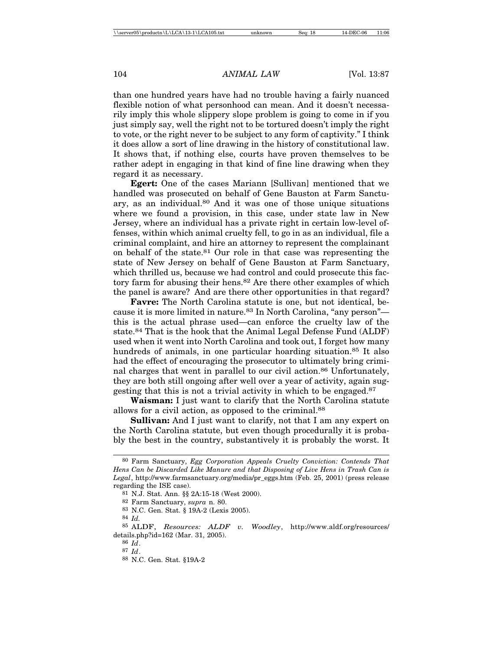than one hundred years have had no trouble having a fairly nuanced flexible notion of what personhood can mean. And it doesn't necessarily imply this whole slippery slope problem is going to come in if you just simply say, well the right not to be tortured doesn't imply the right to vote, or the right never to be subject to any form of captivity." I think it does allow a sort of line drawing in the history of constitutional law. It shows that, if nothing else, courts have proven themselves to be rather adept in engaging in that kind of fine line drawing when they regard it as necessary.

**Egert:** One of the cases Mariann [Sullivan] mentioned that we handled was prosecuted on behalf of Gene Bauston at Farm Sanctuary, as an individual.80 And it was one of those unique situations where we found a provision, in this case, under state law in New Jersey, where an individual has a private right in certain low-level offenses, within which animal cruelty fell, to go in as an individual, file a criminal complaint, and hire an attorney to represent the complainant on behalf of the state.81 Our role in that case was representing the state of New Jersey on behalf of Gene Bauston at Farm Sanctuary, which thrilled us, because we had control and could prosecute this factory farm for abusing their hens.<sup>82</sup> Are there other examples of which the panel is aware? And are there other opportunities in that regard?

**Favre:** The North Carolina statute is one, but not identical, because it is more limited in nature.83 In North Carolina, "any person" this is the actual phrase used—can enforce the cruelty law of the state.84 That is the hook that the Animal Legal Defense Fund (ALDF) used when it went into North Carolina and took out, I forget how many hundreds of animals, in one particular hoarding situation.<sup>85</sup> It also had the effect of encouraging the prosecutor to ultimately bring criminal charges that went in parallel to our civil action.<sup>86</sup> Unfortunately, they are both still ongoing after well over a year of activity, again suggesting that this is not a trivial activity in which to be engaged.87

**Waisman:** I just want to clarify that the North Carolina statute allows for a civil action, as opposed to the criminal.88

**Sullivan:** And I just want to clarify, not that I am any expert on the North Carolina statute, but even though procedurally it is probably the best in the country, substantively it is probably the worst. It

86 *Id*.

<sup>80</sup> Farm Sanctuary, *Egg Corporation Appeals Cruelty Conviction: Contends That Hens Can be Discarded Like Manure and that Disposing of Live Hens in Trash Can is Legal*, http://www.farmsanctuary.org/media/pr\_eggs.htm (Feb. 25, 2001) (press release regarding the ISE case).

<sup>81</sup> N.J. Stat. Ann. §§ 2A:15-18 (West 2000).

<sup>82</sup> Farm Sanctuary, *supra* n. 80.

<sup>83</sup> N.C. Gen. Stat. § 19A-2 (Lexis 2005).

<sup>84</sup> *Id.*

<sup>85</sup> ALDF, *Resources: ALDF v. Woodley*, http://www.aldf.org/resources/ details.php?id=162 (Mar. 31, 2005).

<sup>87</sup> *Id*.

<sup>88</sup> N.C. Gen. Stat. §19A-2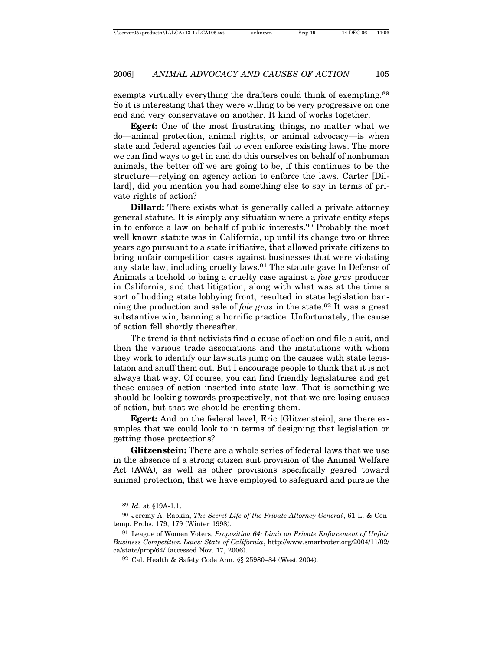exempts virtually everything the drafters could think of exempting.<sup>89</sup> So it is interesting that they were willing to be very progressive on one end and very conservative on another. It kind of works together.

**Egert:** One of the most frustrating things, no matter what we do—animal protection, animal rights, or animal advocacy—is when state and federal agencies fail to even enforce existing laws. The more we can find ways to get in and do this ourselves on behalf of nonhuman animals, the better off we are going to be, if this continues to be the structure—relying on agency action to enforce the laws. Carter [Dillard], did you mention you had something else to say in terms of private rights of action?

**Dillard:** There exists what is generally called a private attorney general statute. It is simply any situation where a private entity steps in to enforce a law on behalf of public interests.90 Probably the most well known statute was in California, up until its change two or three years ago pursuant to a state initiative, that allowed private citizens to bring unfair competition cases against businesses that were violating any state law, including cruelty laws.91 The statute gave In Defense of Animals a toehold to bring a cruelty case against a *foie gras* producer in California, and that litigation, along with what was at the time a sort of budding state lobbying front, resulted in state legislation banning the production and sale of *foie gras* in the state.92 It was a great substantive win, banning a horrific practice. Unfortunately, the cause of action fell shortly thereafter.

The trend is that activists find a cause of action and file a suit, and then the various trade associations and the institutions with whom they work to identify our lawsuits jump on the causes with state legislation and snuff them out. But I encourage people to think that it is not always that way. Of course, you can find friendly legislatures and get these causes of action inserted into state law. That is something we should be looking towards prospectively, not that we are losing causes of action, but that we should be creating them.

**Egert:** And on the federal level, Eric [Glitzenstein], are there examples that we could look to in terms of designing that legislation or getting those protections?

**Glitzenstein:** There are a whole series of federal laws that we use in the absence of a strong citizen suit provision of the Animal Welfare Act (AWA), as well as other provisions specifically geared toward animal protection, that we have employed to safeguard and pursue the

<sup>89</sup> *Id.* at §19A-1.1.

<sup>90</sup> Jeremy A. Rabkin, *The Secret Life of the Private Attorney General*, 61 L. & Contemp. Probs. 179, 179 (Winter 1998).

<sup>91</sup> League of Women Voters, *Proposition 64: Limit on Private Enforcement of Unfair Business Competition Laws: State of California*, http://www.smartvoter.org/2004/11/02/ ca/state/prop/64/ (accessed Nov. 17, 2006).

<sup>92</sup> Cal. Health & Safety Code Ann. §§ 25980–84 (West 2004).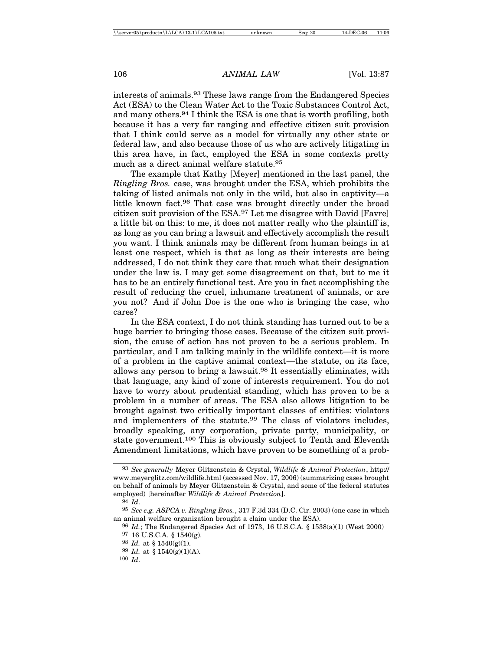interests of animals.93 These laws range from the Endangered Species Act (ESA) to the Clean Water Act to the Toxic Substances Control Act, and many others.94 I think the ESA is one that is worth profiling, both because it has a very far ranging and effective citizen suit provision that I think could serve as a model for virtually any other state or federal law, and also because those of us who are actively litigating in this area have, in fact, employed the ESA in some contexts pretty much as a direct animal welfare statute.<sup>95</sup>

The example that Kathy [Meyer] mentioned in the last panel, the *Ringling Bros.* case, was brought under the ESA, which prohibits the taking of listed animals not only in the wild, but also in captivity—a little known fact.96 That case was brought directly under the broad citizen suit provision of the ESA.97 Let me disagree with David [Favre] a little bit on this: to me, it does not matter really who the plaintiff is, as long as you can bring a lawsuit and effectively accomplish the result you want. I think animals may be different from human beings in at least one respect, which is that as long as their interests are being addressed, I do not think they care that much what their designation under the law is. I may get some disagreement on that, but to me it has to be an entirely functional test. Are you in fact accomplishing the result of reducing the cruel, inhumane treatment of animals, or are you not? And if John Doe is the one who is bringing the case, who cares?

In the ESA context, I do not think standing has turned out to be a huge barrier to bringing those cases. Because of the citizen suit provision, the cause of action has not proven to be a serious problem. In particular, and I am talking mainly in the wildlife context—it is more of a problem in the captive animal context—the statute, on its face, allows any person to bring a lawsuit.98 It essentially eliminates, with that language, any kind of zone of interests requirement. You do not have to worry about prudential standing, which has proven to be a problem in a number of areas. The ESA also allows litigation to be brought against two critically important classes of entities: violators and implementers of the statute.99 The class of violators includes, broadly speaking, any corporation, private party, municipality, or state government.100 This is obviously subject to Tenth and Eleventh Amendment limitations, which have proven to be something of a prob-

<sup>93</sup> *See generally* Meyer Glitzenstein & Crystal, *Wildlife & Animal Protection*, http:// www.meyerglitz.com/wildlife.html (accessed Nov. 17, 2006) (summarizing cases brought on behalf of animals by Meyer Glitzenstein & Crystal, and some of the federal statutes employed) [hereinafter *Wildlife & Animal Protection*].

<sup>94</sup> *Id*.

<sup>95</sup> *See e.g. ASPCA v. Ringling Bros.*, 317 F.3d 334 (D.C. Cir. 2003) (one case in which an animal welfare organization brought a claim under the ESA).

<sup>96</sup> *Id.*; The Endangered Species Act of 1973, 16 U.S.C.A. § 1538(a)(1) (West 2000)

<sup>97</sup> 16 U.S.C.A. § 1540(g).

<sup>98</sup> *Id.* at § 1540(g)(1).

<sup>99</sup> *Id.* at § 1540(g)(1)(A).

<sup>100</sup> *Id*.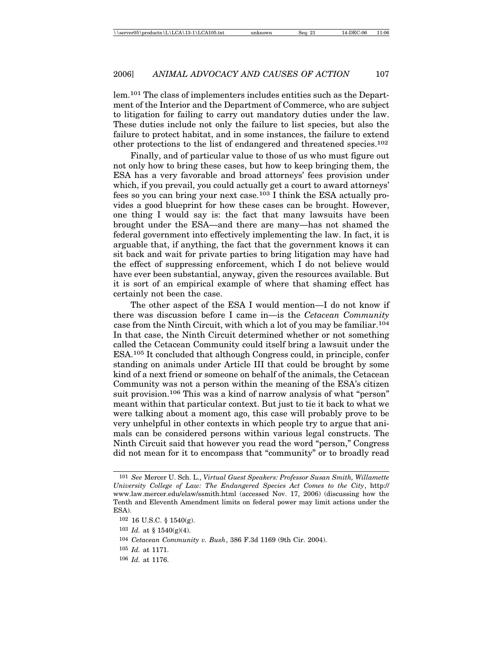lem.101 The class of implementers includes entities such as the Department of the Interior and the Department of Commerce, who are subject to litigation for failing to carry out mandatory duties under the law. These duties include not only the failure to list species, but also the failure to protect habitat, and in some instances, the failure to extend other protections to the list of endangered and threatened species.102

Finally, and of particular value to those of us who must figure out not only how to bring these cases, but how to keep bringing them, the ESA has a very favorable and broad attorneys' fees provision under which, if you prevail, you could actually get a court to award attorneys' fees so you can bring your next case.103 I think the ESA actually provides a good blueprint for how these cases can be brought. However, one thing I would say is: the fact that many lawsuits have been brought under the ESA—and there are many—has not shamed the federal government into effectively implementing the law. In fact, it is arguable that, if anything, the fact that the government knows it can sit back and wait for private parties to bring litigation may have had the effect of suppressing enforcement, which I do not believe would have ever been substantial, anyway, given the resources available. But it is sort of an empirical example of where that shaming effect has certainly not been the case.

The other aspect of the ESA I would mention—I do not know if there was discussion before I came in—is the *Cetacean Community* case from the Ninth Circuit, with which a lot of you may be familiar.104 In that case, the Ninth Circuit determined whether or not something called the Cetacean Community could itself bring a lawsuit under the ESA.105 It concluded that although Congress could, in principle, confer standing on animals under Article III that could be brought by some kind of a next friend or someone on behalf of the animals, the Cetacean Community was not a person within the meaning of the ESA's citizen suit provision.<sup>106</sup> This was a kind of narrow analysis of what "person" meant within that particular context. But just to tie it back to what we were talking about a moment ago, this case will probably prove to be very unhelpful in other contexts in which people try to argue that animals can be considered persons within various legal constructs. The Ninth Circuit said that however you read the word "person," Congress did not mean for it to encompass that "community" or to broadly read

<sup>101</sup> *See* Mercer U. Sch. L., *Virtual Guest Speakers: Professor Susan Smith, Willamette University College of Law: The Endangered Species Act Comes to the City*, http:// www.law.mercer.edu/elaw/ssmith.html (accessed Nov. 17, 2006) (discussing how the Tenth and Eleventh Amendment limits on federal power may limit actions under the ESA).

<sup>102</sup> 16 U.S.C. § 1540(g).

<sup>103</sup> *Id.* at § 1540(g)(4).

<sup>104</sup> *Cetacean Community v. Bush*, 386 F.3d 1169 (9th Cir. 2004).

<sup>105</sup> *Id.* at 1171.

<sup>106</sup> *Id.* at 1176.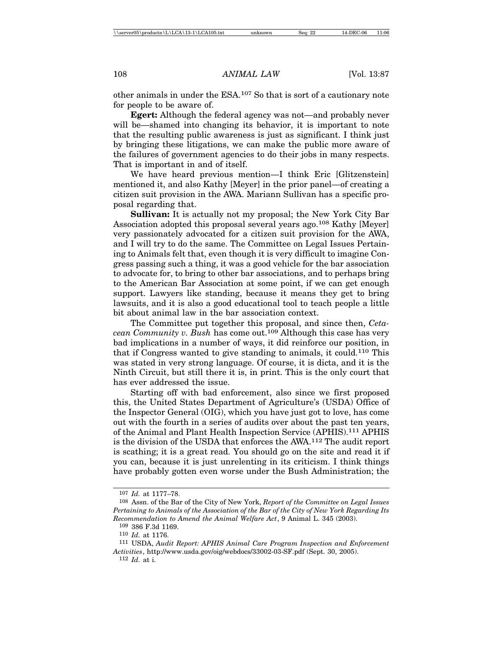other animals in under the ESA.107 So that is sort of a cautionary note for people to be aware of.

**Egert:** Although the federal agency was not—and probably never will be—shamed into changing its behavior, it is important to note that the resulting public awareness is just as significant. I think just by bringing these litigations, we can make the public more aware of the failures of government agencies to do their jobs in many respects. That is important in and of itself.

We have heard previous mention—I think Eric [Glitzenstein] mentioned it, and also Kathy [Meyer] in the prior panel—of creating a citizen suit provision in the AWA. Mariann Sullivan has a specific proposal regarding that.

**Sullivan:** It is actually not my proposal; the New York City Bar Association adopted this proposal several years ago.<sup>108</sup> Kathy [Meyer] very passionately advocated for a citizen suit provision for the AWA, and I will try to do the same. The Committee on Legal Issues Pertaining to Animals felt that, even though it is very difficult to imagine Congress passing such a thing, it was a good vehicle for the bar association to advocate for, to bring to other bar associations, and to perhaps bring to the American Bar Association at some point, if we can get enough support. Lawyers like standing, because it means they get to bring lawsuits, and it is also a good educational tool to teach people a little bit about animal law in the bar association context.

The Committee put together this proposal, and since then, *Cetacean Community v. Bush* has come out.109 Although this case has very bad implications in a number of ways, it did reinforce our position, in that if Congress wanted to give standing to animals, it could.110 This was stated in very strong language. Of course, it is dicta, and it is the Ninth Circuit, but still there it is, in print. This is the only court that has ever addressed the issue.

Starting off with bad enforcement, also since we first proposed this, the United States Department of Agriculture's (USDA) Office of the Inspector General (OIG), which you have just got to love, has come out with the fourth in a series of audits over about the past ten years, of the Animal and Plant Health Inspection Service (APHIS).111 APHIS is the division of the USDA that enforces the AWA.112 The audit report is scathing; it is a great read. You should go on the site and read it if you can, because it is just unrelenting in its criticism. I think things have probably gotten even worse under the Bush Administration; the

<sup>107</sup> *Id.* at 1177–78.

<sup>108</sup> Assn. of the Bar of the City of New York, *Report of the Committee on Legal Issues Pertaining to Animals of the Association of the Bar of the City of New York Regarding Its Recommendation to Amend the Animal Welfare Act*, 9 Animal L. 345 (2003).

<sup>109</sup> 386 F.3d 1169.

<sup>110</sup> *Id.* at 1176.

<sup>111</sup> USDA, *Audit Report: APHIS Animal Care Program Inspection and Enforcement Activities*, http://www.usda.gov/oig/webdocs/33002-03-SF.pdf (Sept. 30, 2005). 112 *Id.* at i.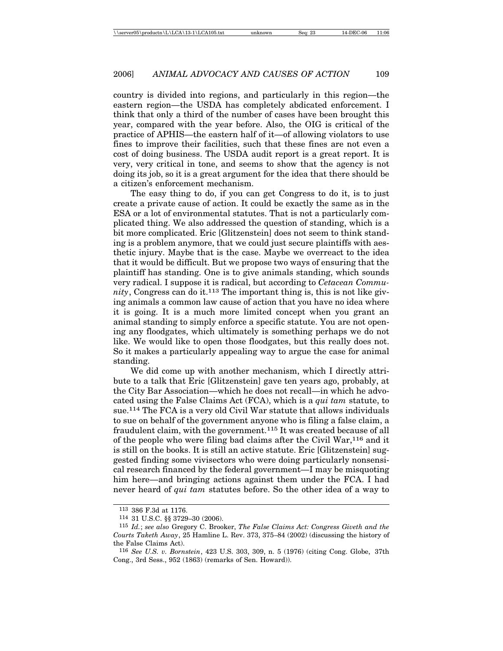country is divided into regions, and particularly in this region—the eastern region—the USDA has completely abdicated enforcement. I think that only a third of the number of cases have been brought this year, compared with the year before. Also, the OIG is critical of the practice of APHIS—the eastern half of it—of allowing violators to use fines to improve their facilities, such that these fines are not even a cost of doing business. The USDA audit report is a great report. It is very, very critical in tone, and seems to show that the agency is not doing its job, so it is a great argument for the idea that there should be a citizen's enforcement mechanism.

The easy thing to do, if you can get Congress to do it, is to just create a private cause of action. It could be exactly the same as in the ESA or a lot of environmental statutes. That is not a particularly complicated thing. We also addressed the question of standing, which is a bit more complicated. Eric [Glitzenstein] does not seem to think standing is a problem anymore, that we could just secure plaintiffs with aesthetic injury. Maybe that is the case. Maybe we overreact to the idea that it would be difficult. But we propose two ways of ensuring that the plaintiff has standing. One is to give animals standing, which sounds very radical. I suppose it is radical, but according to *Cetacean Community*, Congress can do it.113 The important thing is, this is not like giving animals a common law cause of action that you have no idea where it is going. It is a much more limited concept when you grant an animal standing to simply enforce a specific statute. You are not opening any floodgates, which ultimately is something perhaps we do not like. We would like to open those floodgates, but this really does not. So it makes a particularly appealing way to argue the case for animal standing.

We did come up with another mechanism, which I directly attribute to a talk that Eric [Glitzenstein] gave ten years ago, probably, at the City Bar Association—which he does not recall—in which he advocated using the False Claims Act (FCA), which is a *qui tam* statute, to sue.114 The FCA is a very old Civil War statute that allows individuals to sue on behalf of the government anyone who is filing a false claim, a fraudulent claim, with the government.115 It was created because of all of the people who were filing bad claims after the Civil War,116 and it is still on the books. It is still an active statute. Eric [Glitzenstein] suggested finding some vivisectors who were doing particularly nonsensical research financed by the federal government—I may be misquoting him here—and bringing actions against them under the FCA. I had never heard of *qui tam* statutes before. So the other idea of a way to

<sup>113</sup> 386 F.3d at 1176.

<sup>114</sup> 31 U.S.C. §§ 3729–30 (2006).

<sup>115</sup> *Id.*; *see also* Gregory C. Brooker, *The False Claims Act: Congress Giveth and the Courts Taketh Away*, 25 Hamline L. Rev. 373, 375–84 (2002) (discussing the history of the False Claims Act).

<sup>116</sup> *See U.S. v. Bornstein*, 423 U.S. 303, 309, n. 5 (1976) (citing Cong. Globe, 37th Cong., 3rd Sess., 952 (1863) (remarks of Sen. Howard)).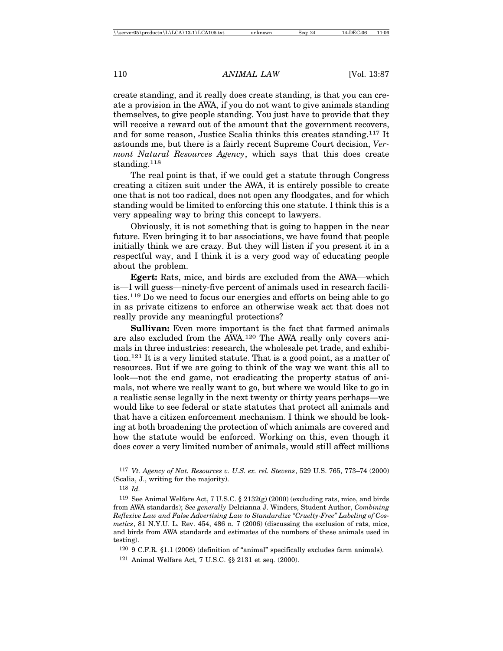create standing, and it really does create standing, is that you can create a provision in the AWA, if you do not want to give animals standing themselves, to give people standing. You just have to provide that they will receive a reward out of the amount that the government recovers, and for some reason, Justice Scalia thinks this creates standing.117 It astounds me, but there is a fairly recent Supreme Court decision, *Vermont Natural Resources Agency*, which says that this does create standing.<sup>118</sup>

The real point is that, if we could get a statute through Congress creating a citizen suit under the AWA, it is entirely possible to create one that is not too radical, does not open any floodgates, and for which standing would be limited to enforcing this one statute. I think this is a very appealing way to bring this concept to lawyers.

Obviously, it is not something that is going to happen in the near future. Even bringing it to bar associations, we have found that people initially think we are crazy. But they will listen if you present it in a respectful way, and I think it is a very good way of educating people about the problem.

**Egert:** Rats, mice, and birds are excluded from the AWA—which is—I will guess—ninety-five percent of animals used in research facilities.119 Do we need to focus our energies and efforts on being able to go in as private citizens to enforce an otherwise weak act that does not really provide any meaningful protections?

**Sullivan:** Even more important is the fact that farmed animals are also excluded from the AWA.120 The AWA really only covers animals in three industries: research, the wholesale pet trade, and exhibition.121 It is a very limited statute. That is a good point, as a matter of resources. But if we are going to think of the way we want this all to look—not the end game, not eradicating the property status of animals, not where we really want to go, but where we would like to go in a realistic sense legally in the next twenty or thirty years perhaps—we would like to see federal or state statutes that protect all animals and that have a citizen enforcement mechanism. I think we should be looking at both broadening the protection of which animals are covered and how the statute would be enforced. Working on this, even though it does cover a very limited number of animals, would still affect millions

<sup>117</sup> *Vt. Agency of Nat. Resources v. U.S. ex. rel. Stevens*, 529 U.S. 765, 773–74 (2000) (Scalia, J., writing for the majority).

<sup>118</sup> *Id.*

<sup>&</sup>lt;sup>119</sup> See Animal Welfare Act, 7 U.S.C. § 2132(g) (2000) (excluding rats, mice, and birds from AWA standards); *See generally* Delcianna J. Winders, Student Author, *Combining Reflexive Law and False Advertising Law to Standardize "Cruelty-Free" Labeling of Cosmetics*, 81 N.Y.U. L. Rev. 454, 486 n. 7 (2006) (discussing the exclusion of rats, mice, and birds from AWA standards and estimates of the numbers of these animals used in testing).

<sup>120</sup> 9 C.F.R. §1.1 (2006) (definition of "animal" specifically excludes farm animals). 121 Animal Welfare Act, 7 U.S.C. §§ 2131 et seq. (2000).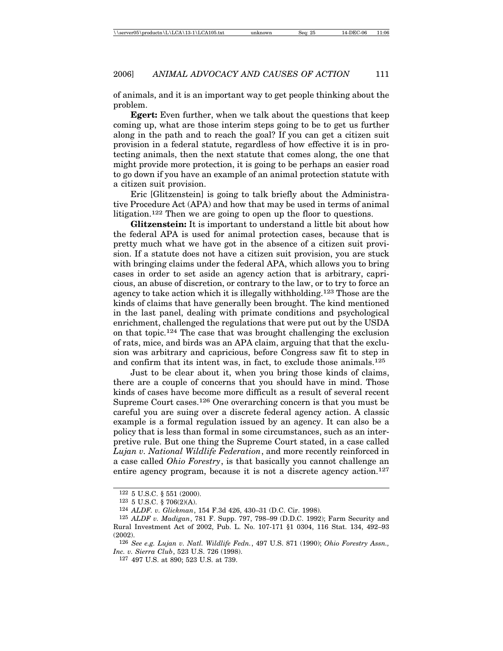of animals, and it is an important way to get people thinking about the problem.

**Egert:** Even further, when we talk about the questions that keep coming up, what are those interim steps going to be to get us further along in the path and to reach the goal? If you can get a citizen suit provision in a federal statute, regardless of how effective it is in protecting animals, then the next statute that comes along, the one that might provide more protection, it is going to be perhaps an easier road to go down if you have an example of an animal protection statute with a citizen suit provision.

Eric [Glitzenstein] is going to talk briefly about the Administrative Procedure Act (APA) and how that may be used in terms of animal litigation.122 Then we are going to open up the floor to questions.

**Glitzenstein:** It is important to understand a little bit about how the federal APA is used for animal protection cases, because that is pretty much what we have got in the absence of a citizen suit provision. If a statute does not have a citizen suit provision, you are stuck with bringing claims under the federal APA, which allows you to bring cases in order to set aside an agency action that is arbitrary, capricious, an abuse of discretion, or contrary to the law, or to try to force an agency to take action which it is illegally withholding.123 Those are the kinds of claims that have generally been brought. The kind mentioned in the last panel, dealing with primate conditions and psychological enrichment, challenged the regulations that were put out by the USDA on that topic.124 The case that was brought challenging the exclusion of rats, mice, and birds was an APA claim, arguing that that the exclusion was arbitrary and capricious, before Congress saw fit to step in and confirm that its intent was, in fact, to exclude those animals.125

Just to be clear about it, when you bring those kinds of claims, there are a couple of concerns that you should have in mind. Those kinds of cases have become more difficult as a result of several recent Supreme Court cases.126 One overarching concern is that you must be careful you are suing over a discrete federal agency action. A classic example is a formal regulation issued by an agency. It can also be a policy that is less than formal in some circumstances, such as an interpretive rule. But one thing the Supreme Court stated, in a case called *Lujan v. National Wildlife Federation*, and more recently reinforced in a case called *Ohio Forestry*, is that basically you cannot challenge an entire agency program, because it is not a discrete agency action.<sup>127</sup>

 $122\,$  5 U.S.C.  $\S$  551 (2000).

<sup>123</sup> 5 U.S.C. § 706(2)(A).

<sup>124</sup> *ALDF. v. Glickman*, 154 F.3d 426, 430–31 (D.C. Cir. 1998).

<sup>125</sup> *ALDF v. Madigan*, 781 F. Supp. 797, 798–99 (D.D.C. 1992); Farm Security and Rural Investment Act of 2002, Pub. L. No. 107-171 §1 0304, 116 Stat. 134, 492–93 (2002).

<sup>126</sup> *See e.g. Lujan v. Natl. Wildlife Fedn.*, 497 U.S. 871 (1990); *Ohio Forestry Assn., Inc. v. Sierra Club*, 523 U.S. 726 (1998).

<sup>127</sup> 497 U.S. at 890; 523 U.S. at 739.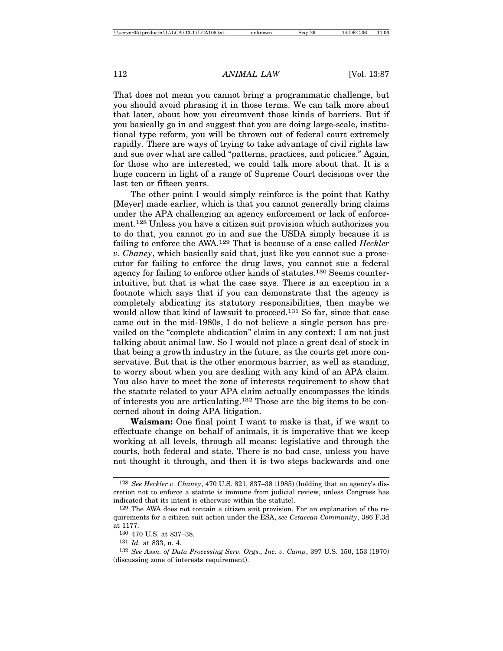That does not mean you cannot bring a programmatic challenge, but you should avoid phrasing it in those terms. We can talk more about that later, about how you circumvent those kinds of barriers. But if you basically go in and suggest that you are doing large-scale, institutional type reform, you will be thrown out of federal court extremely rapidly. There are ways of trying to take advantage of civil rights law and sue over what are called "patterns, practices, and policies." Again, for those who are interested, we could talk more about that. It is a huge concern in light of a range of Supreme Court decisions over the last ten or fifteen years.

The other point I would simply reinforce is the point that Kathy [Meyer] made earlier, which is that you cannot generally bring claims under the APA challenging an agency enforcement or lack of enforcement.128 Unless you have a citizen suit provision which authorizes you to do that, you cannot go in and sue the USDA simply because it is failing to enforce the AWA.129 That is because of a case called *Heckler v. Chaney*, which basically said that, just like you cannot sue a prosecutor for failing to enforce the drug laws, you cannot sue a federal agency for failing to enforce other kinds of statutes.130 Seems counterintuitive, but that is what the case says. There is an exception in a footnote which says that if you can demonstrate that the agency is completely abdicating its statutory responsibilities, then maybe we would allow that kind of lawsuit to proceed.<sup>131</sup> So far, since that case came out in the mid-1980s, I do not believe a single person has prevailed on the "complete abdication" claim in any context; I am not just talking about animal law. So I would not place a great deal of stock in that being a growth industry in the future, as the courts get more conservative. But that is the other enormous barrier, as well as standing, to worry about when you are dealing with any kind of an APA claim. You also have to meet the zone of interests requirement to show that the statute related to your APA claim actually encompasses the kinds of interests you are articulating.132 Those are the big items to be concerned about in doing APA litigation.

**Waisman:** One final point I want to make is that, if we want to effectuate change on behalf of animals, it is imperative that we keep working at all levels, through all means: legislative and through the courts, both federal and state. There is no bad case, unless you have not thought it through, and then it is two steps backwards and one

<sup>128</sup> *See Heckler v. Chaney*, 470 U.S. 821, 837–38 (1985) (holding that an agency's discretion not to enforce a statute is immune from judicial review, unless Congress has indicated that its intent is otherwise within the statute).

<sup>129</sup> The AWA does not contain a citizen suit provision. For an explanation of the requirements for a citizen suit action under the ESA, *see Cetacean Community*, 386 F.3d at 1177.

<sup>130</sup> 470 U.S. at 837–38.

<sup>131</sup> *Id.* at 833, n. 4.

<sup>132</sup> *See Assn. of Data Processing Serv. Orgs., Inc. v. Camp*, 397 U.S. 150, 153 (1970) (discussing zone of interests requirement).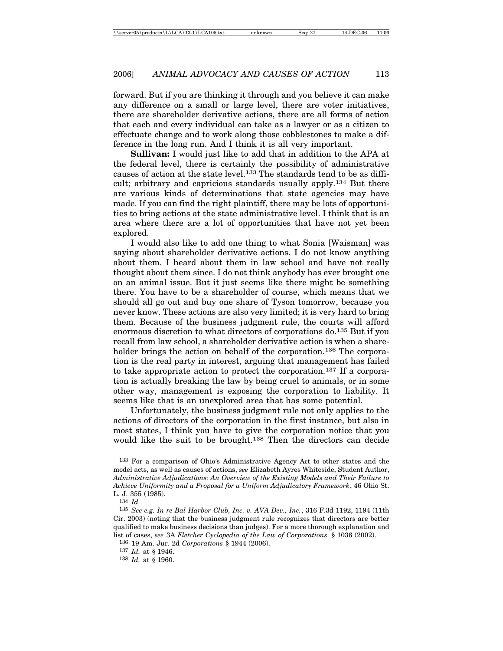forward. But if you are thinking it through and you believe it can make any difference on a small or large level, there are voter initiatives, there are shareholder derivative actions, there are all forms of action that each and every individual can take as a lawyer or as a citizen to effectuate change and to work along those cobblestones to make a difference in the long run. And I think it is all very important.

**Sullivan:** I would just like to add that in addition to the APA at the federal level, there is certainly the possibility of administrative causes of action at the state level.133 The standards tend to be as difficult; arbitrary and capricious standards usually apply.134 But there are various kinds of determinations that state agencies may have made. If you can find the right plaintiff, there may be lots of opportunities to bring actions at the state administrative level. I think that is an area where there are a lot of opportunities that have not yet been explored.

I would also like to add one thing to what Sonia [Waisman] was saying about shareholder derivative actions. I do not know anything about them. I heard about them in law school and have not really thought about them since. I do not think anybody has ever brought one on an animal issue. But it just seems like there might be something there. You have to be a shareholder of course, which means that we should all go out and buy one share of Tyson tomorrow, because you never know. These actions are also very limited; it is very hard to bring them. Because of the business judgment rule, the courts will afford enormous discretion to what directors of corporations do.135 But if you recall from law school, a shareholder derivative action is when a shareholder brings the action on behalf of the corporation.<sup>136</sup> The corporation is the real party in interest, arguing that management has failed to take appropriate action to protect the corporation.137 If a corporation is actually breaking the law by being cruel to animals, or in some other way, management is exposing the corporation to liability. It seems like that is an unexplored area that has some potential.

Unfortunately, the business judgment rule not only applies to the actions of directors of the corporation in the first instance, but also in most states, I think you have to give the corporation notice that you would like the suit to be brought.138 Then the directors can decide

<sup>133</sup> For a comparison of Ohio's Administrative Agency Act to other states and the model acts, as well as causes of actions, *see* Elizabeth Ayres Whiteside, Student Author, *Administrative Adjudications: An Overview of the Existing Models and Their Failure to Achieve Uniformity and a Proposal for a Uniform Adjudicatory Framework*, 46 Ohio St. L. J. 355 (1985).

<sup>134</sup> *Id.*

<sup>135</sup> *See e.g. In re Bal Harbor Club, Inc. v. AVA Dev., Inc.*, 316 F.3d 1192, 1194 (11th Cir. 2003) (noting that the business judgment rule recognizes that directors are better qualified to make business decisions than judges). For a more thorough explanation and list of cases, *see* 3A *Fletcher Cyclopedia of the Law of Corporations* § 1036 (2002).

<sup>136</sup> 19 Am. Jur. 2d *Corporations* § 1944 (2006).

<sup>137</sup> *Id.* at § 1946.

<sup>138</sup> *Id.* at § 1960.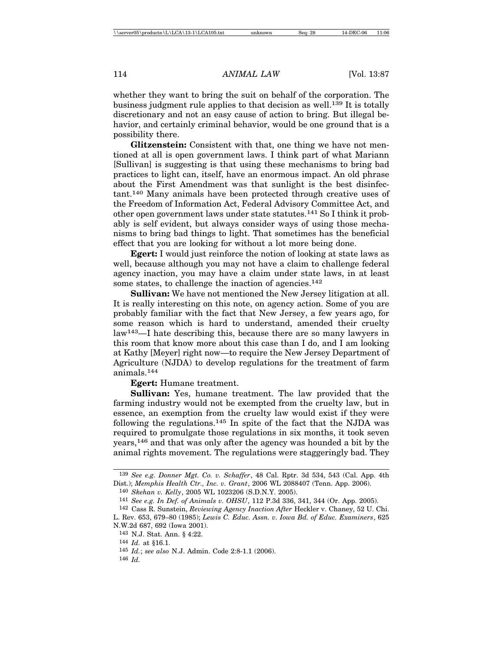whether they want to bring the suit on behalf of the corporation. The business judgment rule applies to that decision as well.139 It is totally discretionary and not an easy cause of action to bring. But illegal behavior, and certainly criminal behavior, would be one ground that is a possibility there.

**Glitzenstein:** Consistent with that, one thing we have not mentioned at all is open government laws. I think part of what Mariann [Sullivan] is suggesting is that using these mechanisms to bring bad practices to light can, itself, have an enormous impact. An old phrase about the First Amendment was that sunlight is the best disinfectant.140 Many animals have been protected through creative uses of the Freedom of Information Act, Federal Advisory Committee Act, and other open government laws under state statutes.141 So I think it probably is self evident, but always consider ways of using those mechanisms to bring bad things to light. That sometimes has the beneficial effect that you are looking for without a lot more being done.

**Egert:** I would just reinforce the notion of looking at state laws as well, because although you may not have a claim to challenge federal agency inaction, you may have a claim under state laws, in at least some states, to challenge the inaction of agencies. $142$ 

**Sullivan:** We have not mentioned the New Jersey litigation at all. It is really interesting on this note, on agency action. Some of you are probably familiar with the fact that New Jersey, a few years ago, for some reason which is hard to understand, amended their cruelty law143—I hate describing this, because there are so many lawyers in this room that know more about this case than I do, and I am looking at Kathy [Meyer] right now—to require the New Jersey Department of Agriculture (NJDA) to develop regulations for the treatment of farm animals.<sup>144</sup>

**Egert:** Humane treatment.

**Sullivan:** Yes, humane treatment. The law provided that the farming industry would not be exempted from the cruelty law, but in essence, an exemption from the cruelty law would exist if they were following the regulations.145 In spite of the fact that the NJDA was required to promulgate those regulations in six months, it took seven years,146 and that was only after the agency was hounded a bit by the animal rights movement. The regulations were staggeringly bad. They

<sup>139</sup> *See e.g. Donner Mgt. Co. v. Schaffer*, 48 Cal. Rptr. 3d 534, 543 (Cal. App. 4th Dist.); *Memphis Health Ctr., Inc. v. Grant*, 2006 WL 2088407 (Tenn. App. 2006).

<sup>140</sup> *Skehan v. Kelly*, 2005 WL 1023206 (S.D.N.Y. 2005).

<sup>141</sup> *See e.g. In Def. of Animals v. OHSU*, 112 P.3d 336, 341, 344 (Or. App. 2005).

<sup>142</sup> Cass R. Sunstein, *Reviewing Agency Inaction After* Heckler v. Chaney, 52 U. Chi. L. Rev. 653, 679–80 (1985); *Lewis C. Educ. Assn. v. Iowa Bd. of Educ. Examiners*, 625

N.W.2d 687, 692 (Iowa 2001).

<sup>143</sup> N.J. Stat. Ann. § 4:22.

<sup>144</sup> *Id.* at §16.1.

<sup>145</sup> *Id.*; *see also* N.J. Admin. Code 2:8-1.1 (2006).

<sup>146</sup> *Id.*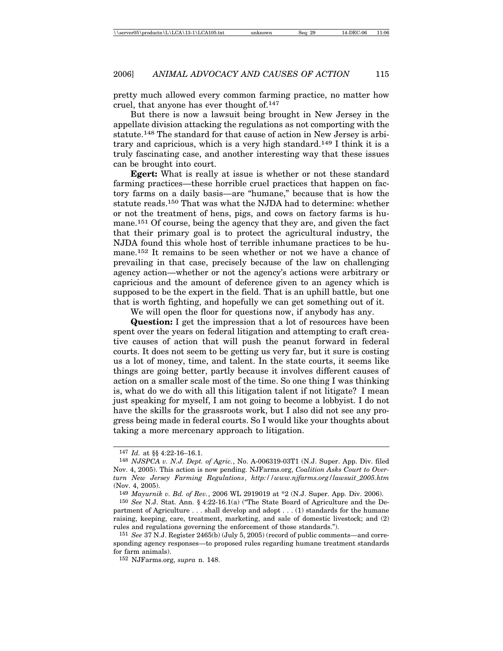pretty much allowed every common farming practice, no matter how cruel, that anyone has ever thought of.147

But there is now a lawsuit being brought in New Jersey in the appellate division attacking the regulations as not comporting with the statute.148 The standard for that cause of action in New Jersey is arbitrary and capricious, which is a very high standard.149 I think it is a truly fascinating case, and another interesting way that these issues can be brought into court.

**Egert:** What is really at issue is whether or not these standard farming practices—these horrible cruel practices that happen on factory farms on a daily basis—are "humane," because that is how the statute reads.150 That was what the NJDA had to determine: whether or not the treatment of hens, pigs, and cows on factory farms is humane.151 Of course, being the agency that they are, and given the fact that their primary goal is to protect the agricultural industry, the NJDA found this whole host of terrible inhumane practices to be humane.152 It remains to be seen whether or not we have a chance of prevailing in that case, precisely because of the law on challenging agency action—whether or not the agency's actions were arbitrary or capricious and the amount of deference given to an agency which is supposed to be the expert in the field. That is an uphill battle, but one that is worth fighting, and hopefully we can get something out of it.

We will open the floor for questions now, if anybody has any.

**Question:** I get the impression that a lot of resources have been spent over the years on federal litigation and attempting to craft creative causes of action that will push the peanut forward in federal courts. It does not seem to be getting us very far, but it sure is costing us a lot of money, time, and talent. In the state courts, it seems like things are going better, partly because it involves different causes of action on a smaller scale most of the time. So one thing I was thinking is, what do we do with all this litigation talent if not litigate? I mean just speaking for myself, I am not going to become a lobbyist. I do not have the skills for the grassroots work, but I also did not see any progress being made in federal courts. So I would like your thoughts about taking a more mercenary approach to litigation.

<sup>147</sup> *Id.* at §§ 4:22-16–16.1.

<sup>148</sup> *NJSPCA v. N.J. Dept. of Agric.*, No. A-006319-03T1 (N.J. Super. App. Div. filed Nov. 4, 2005). This action is now pending. NJFarms.org, *Coalition Asks Court to Overturn New Jersey Farming Regulations*, *http://www.njfarms.org/lawsuit\_2005.htm* (Nov. 4, 2005).

<sup>149</sup> *Mayurnik v. Bd. of Rev.*, 2006 WL 2919019 at \*2 (N.J. Super. App. Div. 2006).

<sup>150</sup> *See* N.J. Stat. Ann. § 4:22-16.1(a) ("The State Board of Agriculture and the Department of Agriculture . . . shall develop and adopt . . . (1) standards for the humane raising, keeping, care, treatment, marketing, and sale of domestic livestock; and (2) rules and regulations governing the enforcement of those standards.").

<sup>151</sup> *See* 37 N.J. Register 2465(b) (July 5, 2005) (record of public comments—and corresponding agency responses—to proposed rules regarding humane treatment standards for farm animals).

<sup>152</sup> NJFarms.org, *supra* n. 148.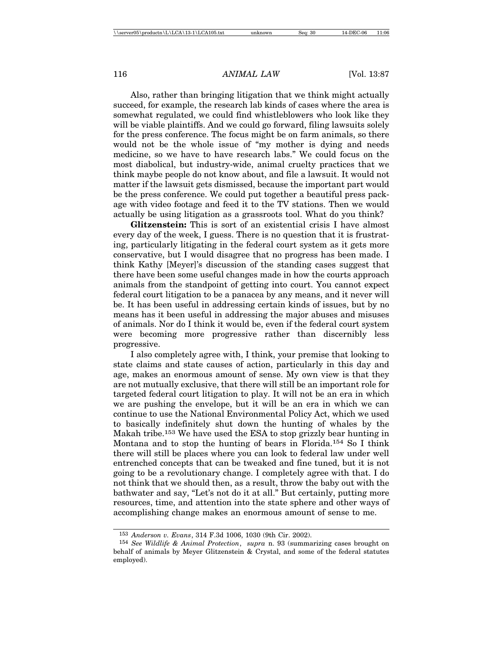Also, rather than bringing litigation that we think might actually succeed, for example, the research lab kinds of cases where the area is somewhat regulated, we could find whistleblowers who look like they will be viable plaintiffs. And we could go forward, filing lawsuits solely for the press conference. The focus might be on farm animals, so there would not be the whole issue of "my mother is dying and needs medicine, so we have to have research labs." We could focus on the most diabolical, but industry-wide, animal cruelty practices that we think maybe people do not know about, and file a lawsuit. It would not matter if the lawsuit gets dismissed, because the important part would be the press conference. We could put together a beautiful press package with video footage and feed it to the TV stations. Then we would actually be using litigation as a grassroots tool. What do you think?

**Glitzenstein:** This is sort of an existential crisis I have almost every day of the week, I guess. There is no question that it is frustrating, particularly litigating in the federal court system as it gets more conservative, but I would disagree that no progress has been made. I think Kathy [Meyer]'s discussion of the standing cases suggest that there have been some useful changes made in how the courts approach animals from the standpoint of getting into court. You cannot expect federal court litigation to be a panacea by any means, and it never will be. It has been useful in addressing certain kinds of issues, but by no means has it been useful in addressing the major abuses and misuses of animals. Nor do I think it would be, even if the federal court system were becoming more progressive rather than discernibly less progressive.

I also completely agree with, I think, your premise that looking to state claims and state causes of action, particularly in this day and age, makes an enormous amount of sense. My own view is that they are not mutually exclusive, that there will still be an important role for targeted federal court litigation to play. It will not be an era in which we are pushing the envelope, but it will be an era in which we can continue to use the National Environmental Policy Act, which we used to basically indefinitely shut down the hunting of whales by the Makah tribe.153 We have used the ESA to stop grizzly bear hunting in Montana and to stop the hunting of bears in Florida.154 So I think there will still be places where you can look to federal law under well entrenched concepts that can be tweaked and fine tuned, but it is not going to be a revolutionary change. I completely agree with that. I do not think that we should then, as a result, throw the baby out with the bathwater and say, "Let's not do it at all." But certainly, putting more resources, time, and attention into the state sphere and other ways of accomplishing change makes an enormous amount of sense to me.

<sup>153</sup> *Anderson v. Evans*, 314 F.3d 1006, 1030 (9th Cir. 2002).

<sup>154</sup> *See Wildlife & Animal Protection*, *supra* n. 93 (summarizing cases brought on behalf of animals by Meyer Glitzenstein & Crystal, and some of the federal statutes employed).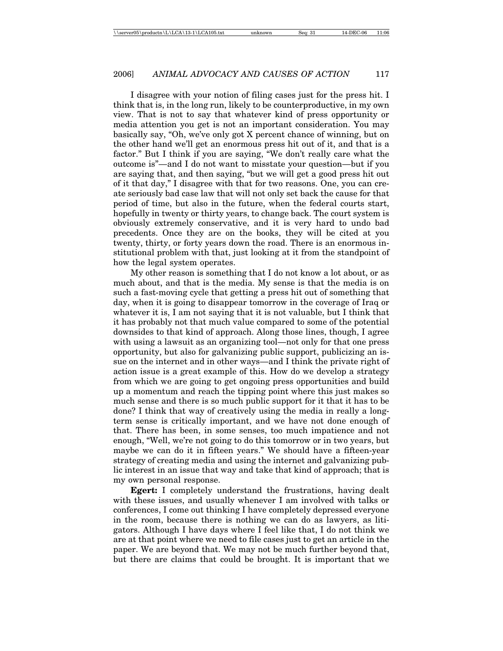I disagree with your notion of filing cases just for the press hit. I think that is, in the long run, likely to be counterproductive, in my own view. That is not to say that whatever kind of press opportunity or media attention you get is not an important consideration. You may basically say, "Oh, we've only got X percent chance of winning, but on the other hand we'll get an enormous press hit out of it, and that is a factor." But I think if you are saying, "We don't really care what the outcome is"—and I do not want to misstate your question—but if you are saying that, and then saying, "but we will get a good press hit out of it that day," I disagree with that for two reasons. One, you can create seriously bad case law that will not only set back the cause for that period of time, but also in the future, when the federal courts start, hopefully in twenty or thirty years, to change back. The court system is obviously extremely conservative, and it is very hard to undo bad precedents. Once they are on the books, they will be cited at you twenty, thirty, or forty years down the road. There is an enormous institutional problem with that, just looking at it from the standpoint of how the legal system operates.

My other reason is something that I do not know a lot about, or as much about, and that is the media. My sense is that the media is on such a fast-moving cycle that getting a press hit out of something that day, when it is going to disappear tomorrow in the coverage of Iraq or whatever it is, I am not saying that it is not valuable, but I think that it has probably not that much value compared to some of the potential downsides to that kind of approach. Along those lines, though, I agree with using a lawsuit as an organizing tool—not only for that one press opportunity, but also for galvanizing public support, publicizing an issue on the internet and in other ways—and I think the private right of action issue is a great example of this. How do we develop a strategy from which we are going to get ongoing press opportunities and build up a momentum and reach the tipping point where this just makes so much sense and there is so much public support for it that it has to be done? I think that way of creatively using the media in really a longterm sense is critically important, and we have not done enough of that. There has been, in some senses, too much impatience and not enough, "Well, we're not going to do this tomorrow or in two years, but maybe we can do it in fifteen years." We should have a fifteen-year strategy of creating media and using the internet and galvanizing public interest in an issue that way and take that kind of approach; that is my own personal response.

**Egert:** I completely understand the frustrations, having dealt with these issues, and usually whenever I am involved with talks or conferences, I come out thinking I have completely depressed everyone in the room, because there is nothing we can do as lawyers, as litigators. Although I have days where I feel like that, I do not think we are at that point where we need to file cases just to get an article in the paper. We are beyond that. We may not be much further beyond that, but there are claims that could be brought. It is important that we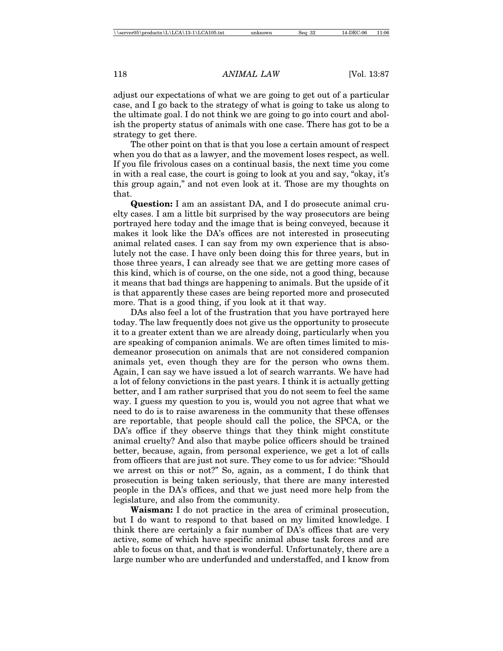adjust our expectations of what we are going to get out of a particular case, and I go back to the strategy of what is going to take us along to the ultimate goal. I do not think we are going to go into court and abolish the property status of animals with one case. There has got to be a strategy to get there.

The other point on that is that you lose a certain amount of respect when you do that as a lawyer, and the movement loses respect, as well. If you file frivolous cases on a continual basis, the next time you come in with a real case, the court is going to look at you and say, "okay, it's this group again," and not even look at it. Those are my thoughts on that.

**Question:** I am an assistant DA, and I do prosecute animal cruelty cases. I am a little bit surprised by the way prosecutors are being portrayed here today and the image that is being conveyed, because it makes it look like the DA's offices are not interested in prosecuting animal related cases. I can say from my own experience that is absolutely not the case. I have only been doing this for three years, but in those three years, I can already see that we are getting more cases of this kind, which is of course, on the one side, not a good thing, because it means that bad things are happening to animals. But the upside of it is that apparently these cases are being reported more and prosecuted more. That is a good thing, if you look at it that way.

DAs also feel a lot of the frustration that you have portrayed here today. The law frequently does not give us the opportunity to prosecute it to a greater extent than we are already doing, particularly when you are speaking of companion animals. We are often times limited to misdemeanor prosecution on animals that are not considered companion animals yet, even though they are for the person who owns them. Again, I can say we have issued a lot of search warrants. We have had a lot of felony convictions in the past years. I think it is actually getting better, and I am rather surprised that you do not seem to feel the same way. I guess my question to you is, would you not agree that what we need to do is to raise awareness in the community that these offenses are reportable, that people should call the police, the SPCA, or the DA's office if they observe things that they think might constitute animal cruelty? And also that maybe police officers should be trained better, because, again, from personal experience, we get a lot of calls from officers that are just not sure. They come to us for advice: "Should we arrest on this or not?" So, again, as a comment, I do think that prosecution is being taken seriously, that there are many interested people in the DA's offices, and that we just need more help from the legislature, and also from the community.

**Waisman:** I do not practice in the area of criminal prosecution, but I do want to respond to that based on my limited knowledge. I think there are certainly a fair number of DA's offices that are very active, some of which have specific animal abuse task forces and are able to focus on that, and that is wonderful. Unfortunately, there are a large number who are underfunded and understaffed, and I know from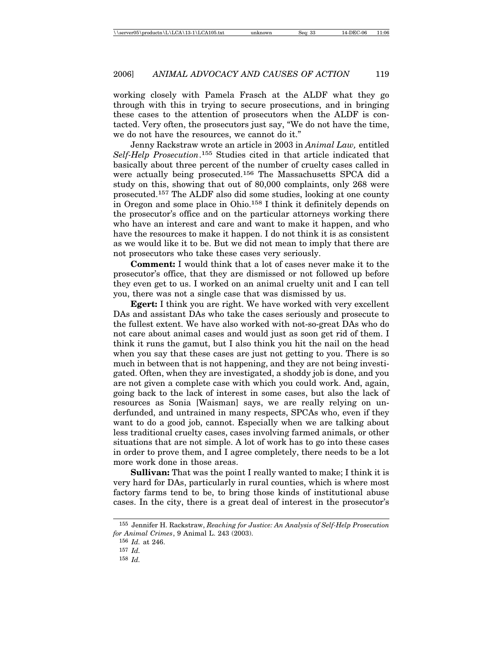working closely with Pamela Frasch at the ALDF what they go through with this in trying to secure prosecutions, and in bringing these cases to the attention of prosecutors when the ALDF is contacted. Very often, the prosecutors just say, "We do not have the time, we do not have the resources, we cannot do it."

Jenny Rackstraw wrote an article in 2003 in *Animal Law,* entitled *Self-Help Prosecution*. 155 Studies cited in that article indicated that basically about three percent of the number of cruelty cases called in were actually being prosecuted.156 The Massachusetts SPCA did a study on this, showing that out of 80,000 complaints, only 268 were prosecuted.157 The ALDF also did some studies, looking at one county in Oregon and some place in Ohio.158 I think it definitely depends on the prosecutor's office and on the particular attorneys working there who have an interest and care and want to make it happen, and who have the resources to make it happen. I do not think it is as consistent as we would like it to be. But we did not mean to imply that there are not prosecutors who take these cases very seriously.

**Comment:** I would think that a lot of cases never make it to the prosecutor's office, that they are dismissed or not followed up before they even get to us. I worked on an animal cruelty unit and I can tell you, there was not a single case that was dismissed by us.

**Egert:** I think you are right. We have worked with very excellent DAs and assistant DAs who take the cases seriously and prosecute to the fullest extent. We have also worked with not-so-great DAs who do not care about animal cases and would just as soon get rid of them. I think it runs the gamut, but I also think you hit the nail on the head when you say that these cases are just not getting to you. There is so much in between that is not happening, and they are not being investigated. Often, when they are investigated, a shoddy job is done, and you are not given a complete case with which you could work. And, again, going back to the lack of interest in some cases, but also the lack of resources as Sonia [Waisman] says, we are really relying on underfunded, and untrained in many respects, SPCAs who, even if they want to do a good job, cannot. Especially when we are talking about less traditional cruelty cases, cases involving farmed animals, or other situations that are not simple. A lot of work has to go into these cases in order to prove them, and I agree completely, there needs to be a lot more work done in those areas.

**Sullivan:** That was the point I really wanted to make; I think it is very hard for DAs, particularly in rural counties, which is where most factory farms tend to be, to bring those kinds of institutional abuse cases. In the city, there is a great deal of interest in the prosecutor's

<sup>155</sup> Jennifer H. Rackstraw, *Reaching for Justice: An Analysis of Self-Help Prosecution for Animal Crimes*, 9 Animal L. 243 (2003).

<sup>156</sup> *Id.* at 246.

<sup>157</sup> *Id.*

<sup>158</sup> *Id.*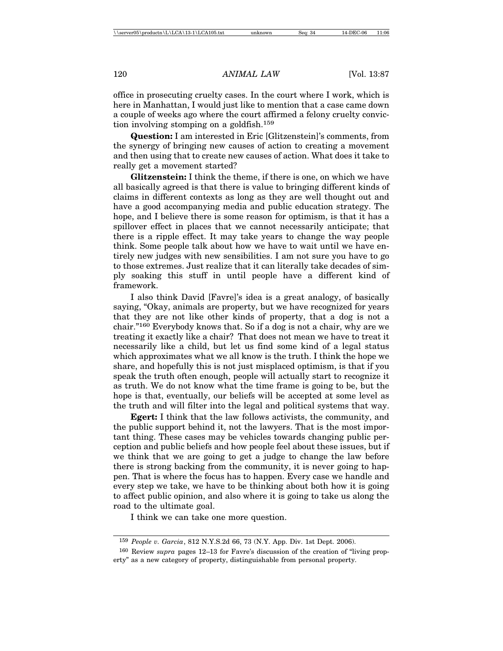office in prosecuting cruelty cases. In the court where I work, which is here in Manhattan, I would just like to mention that a case came down a couple of weeks ago where the court affirmed a felony cruelty conviction involving stomping on a goldfish.159

**Question:** I am interested in Eric [Glitzenstein]'s comments, from the synergy of bringing new causes of action to creating a movement and then using that to create new causes of action. What does it take to really get a movement started?

**Glitzenstein:** I think the theme, if there is one, on which we have all basically agreed is that there is value to bringing different kinds of claims in different contexts as long as they are well thought out and have a good accompanying media and public education strategy. The hope, and I believe there is some reason for optimism, is that it has a spillover effect in places that we cannot necessarily anticipate; that there is a ripple effect. It may take years to change the way people think. Some people talk about how we have to wait until we have entirely new judges with new sensibilities. I am not sure you have to go to those extremes. Just realize that it can literally take decades of simply soaking this stuff in until people have a different kind of framework.

I also think David [Favre]'s idea is a great analogy, of basically saying, "Okay, animals are property, but we have recognized for years that they are not like other kinds of property, that a dog is not a chair."160 Everybody knows that. So if a dog is not a chair, why are we treating it exactly like a chair? That does not mean we have to treat it necessarily like a child, but let us find some kind of a legal status which approximates what we all know is the truth. I think the hope we share, and hopefully this is not just misplaced optimism, is that if you speak the truth often enough, people will actually start to recognize it as truth. We do not know what the time frame is going to be, but the hope is that, eventually, our beliefs will be accepted at some level as the truth and will filter into the legal and political systems that way.

**Egert:** I think that the law follows activists, the community, and the public support behind it, not the lawyers. That is the most important thing. These cases may be vehicles towards changing public perception and public beliefs and how people feel about these issues, but if we think that we are going to get a judge to change the law before there is strong backing from the community, it is never going to happen. That is where the focus has to happen. Every case we handle and every step we take, we have to be thinking about both how it is going to affect public opinion, and also where it is going to take us along the road to the ultimate goal.

I think we can take one more question.

<sup>159</sup> *People v. Garcia*, 812 N.Y.S.2d 66, 73 (N.Y. App. Div. 1st Dept. 2006).

<sup>160</sup> Review *supra* pages 12–13 for Favre's discussion of the creation of "living property" as a new category of property, distinguishable from personal property.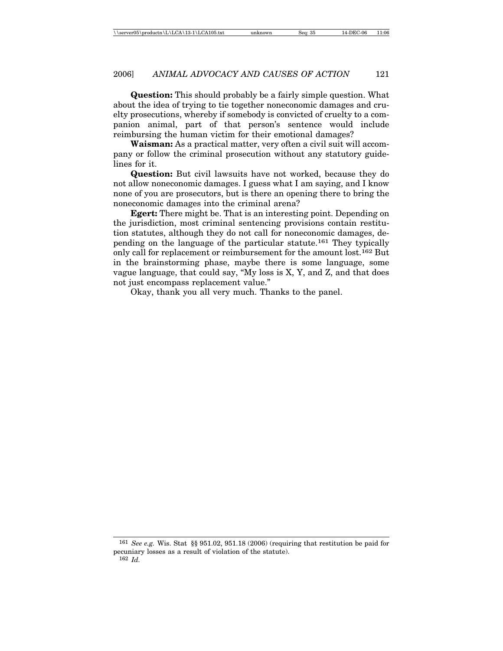**Question:** This should probably be a fairly simple question. What about the idea of trying to tie together noneconomic damages and cruelty prosecutions, whereby if somebody is convicted of cruelty to a companion animal, part of that person's sentence would include reimbursing the human victim for their emotional damages?

**Waisman:** As a practical matter, very often a civil suit will accompany or follow the criminal prosecution without any statutory guidelines for it.

**Question:** But civil lawsuits have not worked, because they do not allow noneconomic damages. I guess what I am saying, and I know none of you are prosecutors, but is there an opening there to bring the noneconomic damages into the criminal arena?

**Egert:** There might be. That is an interesting point. Depending on the jurisdiction, most criminal sentencing provisions contain restitution statutes, although they do not call for noneconomic damages, depending on the language of the particular statute.161 They typically only call for replacement or reimbursement for the amount lost.162 But in the brainstorming phase, maybe there is some language, some vague language, that could say, "My loss is X, Y, and Z, and that does not just encompass replacement value."

Okay, thank you all very much. Thanks to the panel.

161 *See e.g.* Wis. Stat §§ 951.02, 951.18 (2006) (requiring that restitution be paid for pecuniary losses as a result of violation of the statute). 162 *Id.*